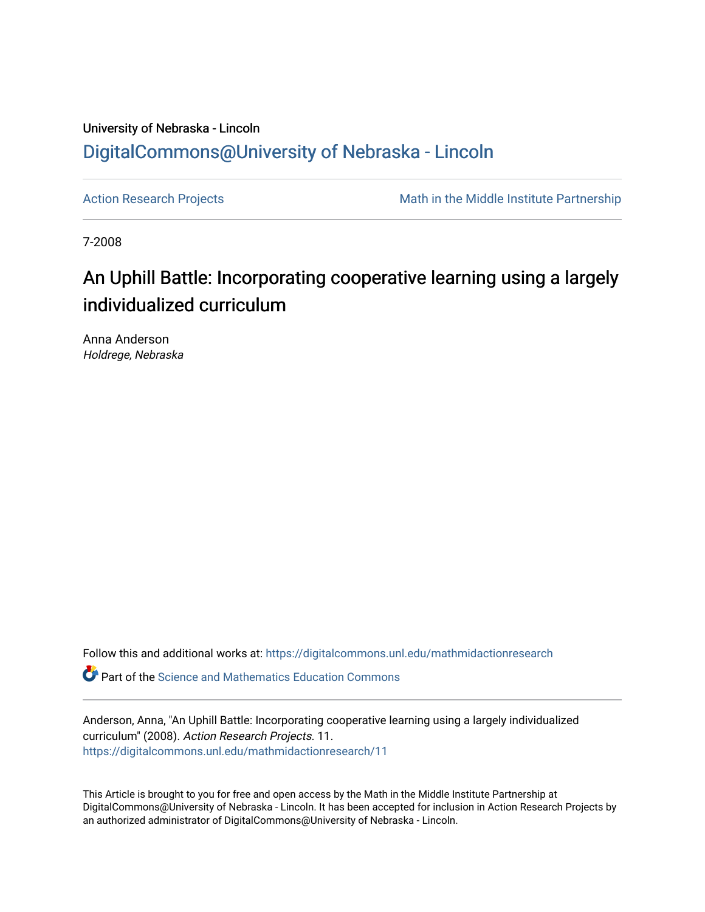# University of Nebraska - Lincoln [DigitalCommons@University of Nebraska - Lincoln](https://digitalcommons.unl.edu/)

[Action Research Projects](https://digitalcommons.unl.edu/mathmidactionresearch) **Math in the Middle Institute Partnership** Math in the Middle Institute Partnership

7-2008

# An Uphill Battle: Incorporating cooperative learning using a largely individualized curriculum

Anna Anderson Holdrege, Nebraska

Follow this and additional works at: [https://digitalcommons.unl.edu/mathmidactionresearch](https://digitalcommons.unl.edu/mathmidactionresearch?utm_source=digitalcommons.unl.edu%2Fmathmidactionresearch%2F11&utm_medium=PDF&utm_campaign=PDFCoverPages) 

**P** Part of the Science and Mathematics Education Commons

Anderson, Anna, "An Uphill Battle: Incorporating cooperative learning using a largely individualized curriculum" (2008). Action Research Projects. 11. [https://digitalcommons.unl.edu/mathmidactionresearch/11](https://digitalcommons.unl.edu/mathmidactionresearch/11?utm_source=digitalcommons.unl.edu%2Fmathmidactionresearch%2F11&utm_medium=PDF&utm_campaign=PDFCoverPages) 

This Article is brought to you for free and open access by the Math in the Middle Institute Partnership at DigitalCommons@University of Nebraska - Lincoln. It has been accepted for inclusion in Action Research Projects by an authorized administrator of DigitalCommons@University of Nebraska - Lincoln.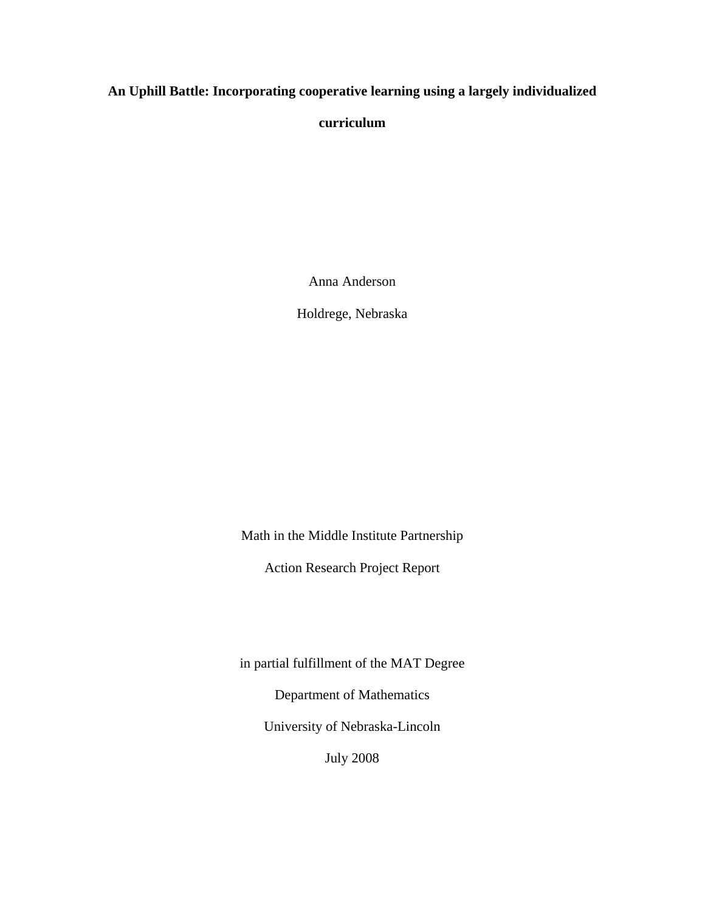# **An Uphill Battle: Incorporating cooperative learning using a largely individualized**

**curriculum** 

Anna Anderson

Holdrege, Nebraska

Math in the Middle Institute Partnership

Action Research Project Report

in partial fulfillment of the MAT Degree

Department of Mathematics

University of Nebraska-Lincoln

July 2008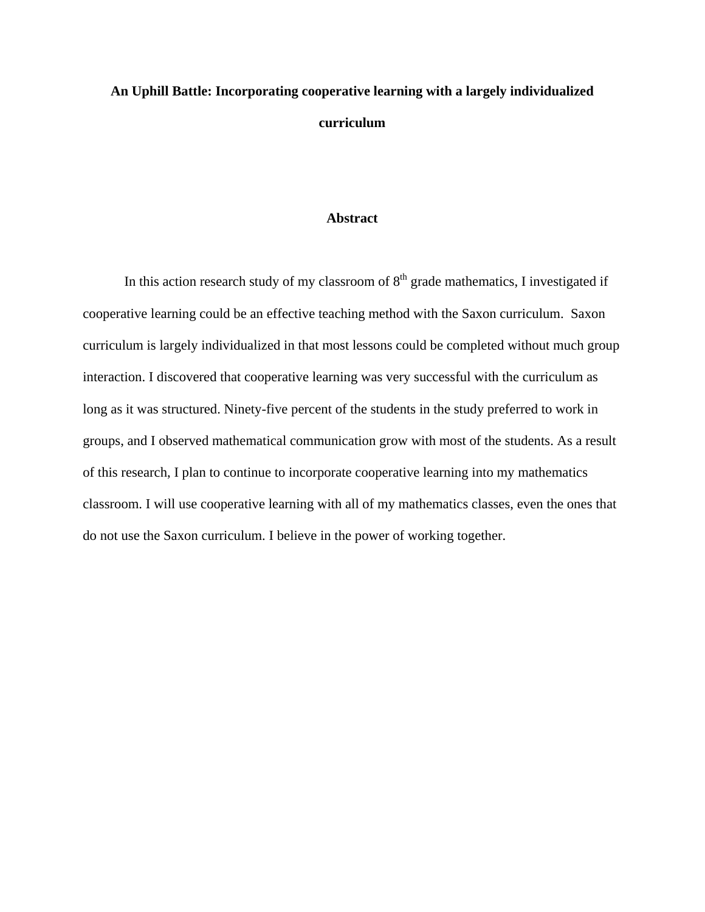# **An Uphill Battle: Incorporating cooperative learning with a largely individualized curriculum**

#### **Abstract**

In this action research study of my classroom of  $8<sup>th</sup>$  grade mathematics, I investigated if cooperative learning could be an effective teaching method with the Saxon curriculum. Saxon curriculum is largely individualized in that most lessons could be completed without much group interaction. I discovered that cooperative learning was very successful with the curriculum as long as it was structured. Ninety-five percent of the students in the study preferred to work in groups, and I observed mathematical communication grow with most of the students. As a result of this research, I plan to continue to incorporate cooperative learning into my mathematics classroom. I will use cooperative learning with all of my mathematics classes, even the ones that do not use the Saxon curriculum. I believe in the power of working together.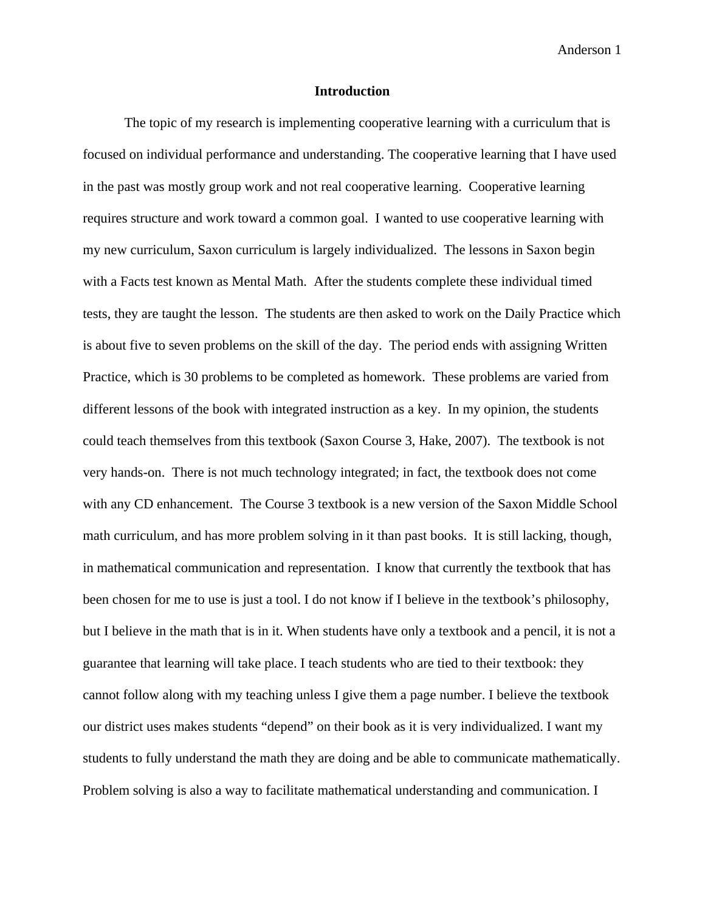#### **Introduction**

The topic of my research is implementing cooperative learning with a curriculum that is focused on individual performance and understanding. The cooperative learning that I have used in the past was mostly group work and not real cooperative learning. Cooperative learning requires structure and work toward a common goal. I wanted to use cooperative learning with my new curriculum, Saxon curriculum is largely individualized. The lessons in Saxon begin with a Facts test known as Mental Math. After the students complete these individual timed tests, they are taught the lesson. The students are then asked to work on the Daily Practice which is about five to seven problems on the skill of the day. The period ends with assigning Written Practice, which is 30 problems to be completed as homework. These problems are varied from different lessons of the book with integrated instruction as a key. In my opinion, the students could teach themselves from this textbook (Saxon Course 3, Hake, 2007). The textbook is not very hands-on. There is not much technology integrated; in fact, the textbook does not come with any CD enhancement. The Course 3 textbook is a new version of the Saxon Middle School math curriculum, and has more problem solving in it than past books. It is still lacking, though, in mathematical communication and representation. I know that currently the textbook that has been chosen for me to use is just a tool. I do not know if I believe in the textbook's philosophy, but I believe in the math that is in it. When students have only a textbook and a pencil, it is not a guarantee that learning will take place. I teach students who are tied to their textbook: they cannot follow along with my teaching unless I give them a page number. I believe the textbook our district uses makes students "depend" on their book as it is very individualized. I want my students to fully understand the math they are doing and be able to communicate mathematically. Problem solving is also a way to facilitate mathematical understanding and communication. I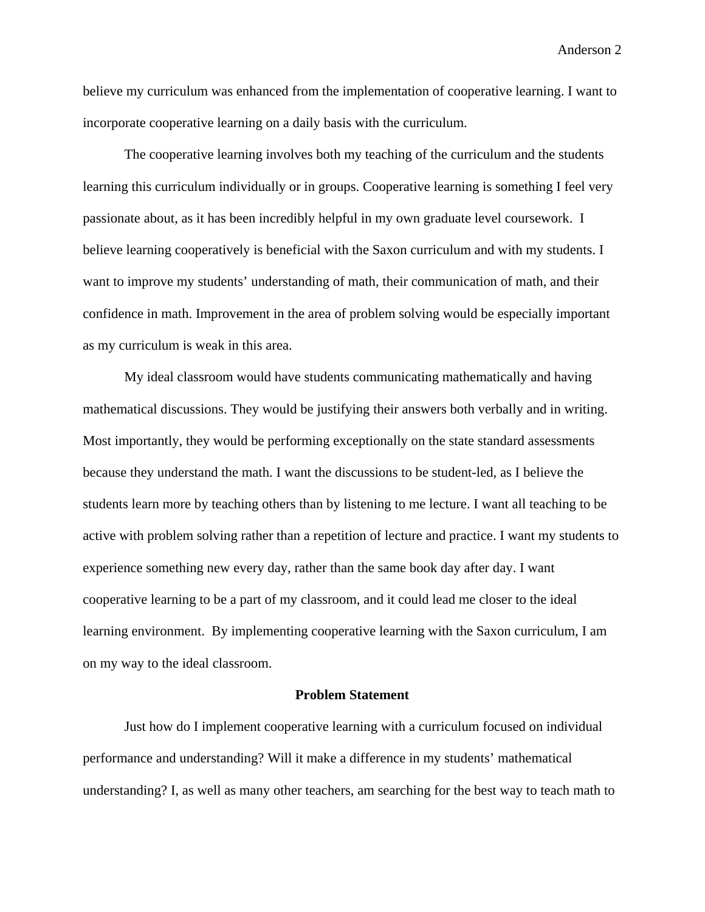believe my curriculum was enhanced from the implementation of cooperative learning. I want to incorporate cooperative learning on a daily basis with the curriculum.

 The cooperative learning involves both my teaching of the curriculum and the students learning this curriculum individually or in groups. Cooperative learning is something I feel very passionate about, as it has been incredibly helpful in my own graduate level coursework. I believe learning cooperatively is beneficial with the Saxon curriculum and with my students. I want to improve my students' understanding of math, their communication of math, and their confidence in math. Improvement in the area of problem solving would be especially important as my curriculum is weak in this area.

My ideal classroom would have students communicating mathematically and having mathematical discussions. They would be justifying their answers both verbally and in writing. Most importantly, they would be performing exceptionally on the state standard assessments because they understand the math. I want the discussions to be student-led, as I believe the students learn more by teaching others than by listening to me lecture. I want all teaching to be active with problem solving rather than a repetition of lecture and practice. I want my students to experience something new every day, rather than the same book day after day. I want cooperative learning to be a part of my classroom, and it could lead me closer to the ideal learning environment. By implementing cooperative learning with the Saxon curriculum, I am on my way to the ideal classroom.

#### **Problem Statement**

Just how do I implement cooperative learning with a curriculum focused on individual performance and understanding? Will it make a difference in my students' mathematical understanding? I, as well as many other teachers, am searching for the best way to teach math to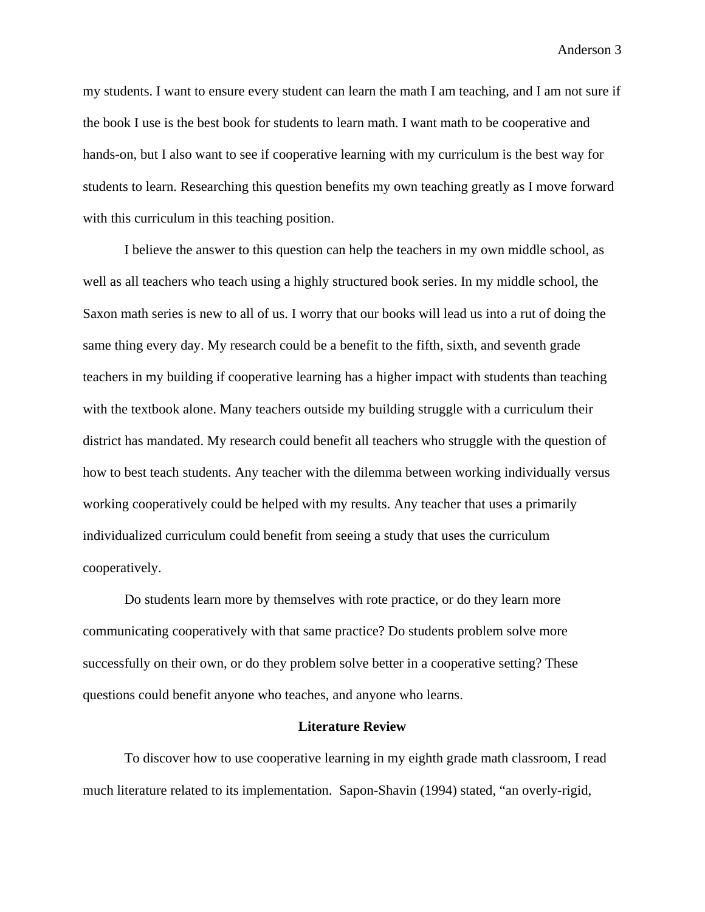my students. I want to ensure every student can learn the math I am teaching, and I am not sure if the book I use is the best book for students to learn math. I want math to be cooperative and hands-on, but I also want to see if cooperative learning with my curriculum is the best way for students to learn. Researching this question benefits my own teaching greatly as I move forward with this curriculum in this teaching position.

 I believe the answer to this question can help the teachers in my own middle school, as well as all teachers who teach using a highly structured book series. In my middle school, the Saxon math series is new to all of us. I worry that our books will lead us into a rut of doing the same thing every day. My research could be a benefit to the fifth, sixth, and seventh grade teachers in my building if cooperative learning has a higher impact with students than teaching with the textbook alone. Many teachers outside my building struggle with a curriculum their district has mandated. My research could benefit all teachers who struggle with the question of how to best teach students. Any teacher with the dilemma between working individually versus working cooperatively could be helped with my results. Any teacher that uses a primarily individualized curriculum could benefit from seeing a study that uses the curriculum cooperatively.

 Do students learn more by themselves with rote practice, or do they learn more communicating cooperatively with that same practice? Do students problem solve more successfully on their own, or do they problem solve better in a cooperative setting? These questions could benefit anyone who teaches, and anyone who learns.

#### **Literature Review**

 To discover how to use cooperative learning in my eighth grade math classroom, I read much literature related to its implementation. Sapon-Shavin (1994) stated, "an overly-rigid,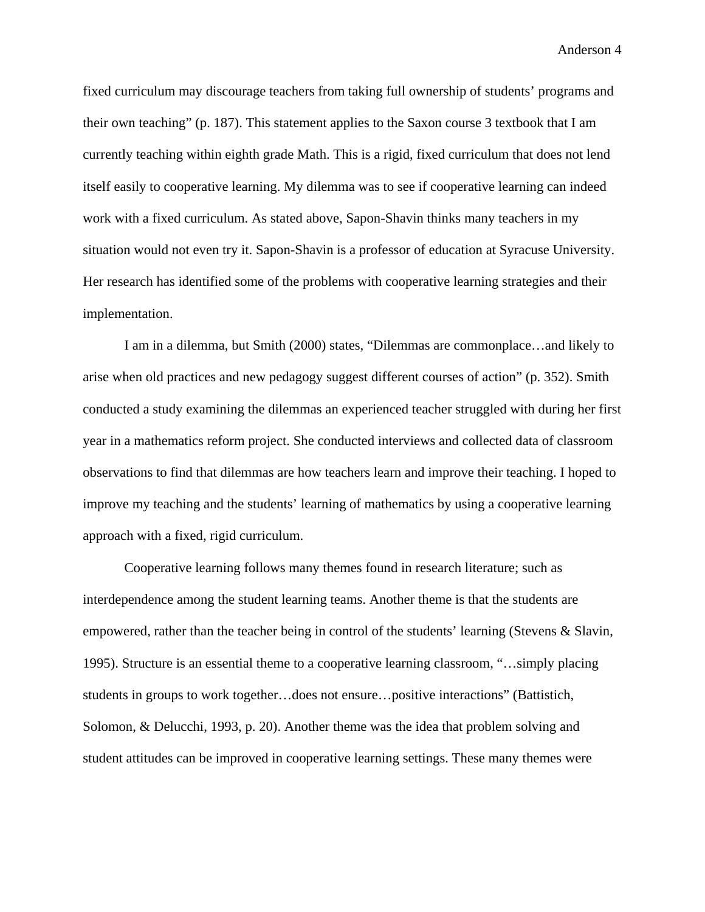fixed curriculum may discourage teachers from taking full ownership of students' programs and their own teaching" (p. 187). This statement applies to the Saxon course 3 textbook that I am currently teaching within eighth grade Math. This is a rigid, fixed curriculum that does not lend itself easily to cooperative learning. My dilemma was to see if cooperative learning can indeed work with a fixed curriculum. As stated above, Sapon-Shavin thinks many teachers in my situation would not even try it. Sapon-Shavin is a professor of education at Syracuse University. Her research has identified some of the problems with cooperative learning strategies and their implementation.

I am in a dilemma, but Smith (2000) states, "Dilemmas are commonplace…and likely to arise when old practices and new pedagogy suggest different courses of action" (p. 352). Smith conducted a study examining the dilemmas an experienced teacher struggled with during her first year in a mathematics reform project. She conducted interviews and collected data of classroom observations to find that dilemmas are how teachers learn and improve their teaching. I hoped to improve my teaching and the students' learning of mathematics by using a cooperative learning approach with a fixed, rigid curriculum.

Cooperative learning follows many themes found in research literature; such as interdependence among the student learning teams. Another theme is that the students are empowered, rather than the teacher being in control of the students' learning (Stevens & Slavin, 1995). Structure is an essential theme to a cooperative learning classroom, "…simply placing students in groups to work together…does not ensure…positive interactions" (Battistich, Solomon, & Delucchi, 1993, p. 20). Another theme was the idea that problem solving and student attitudes can be improved in cooperative learning settings. These many themes were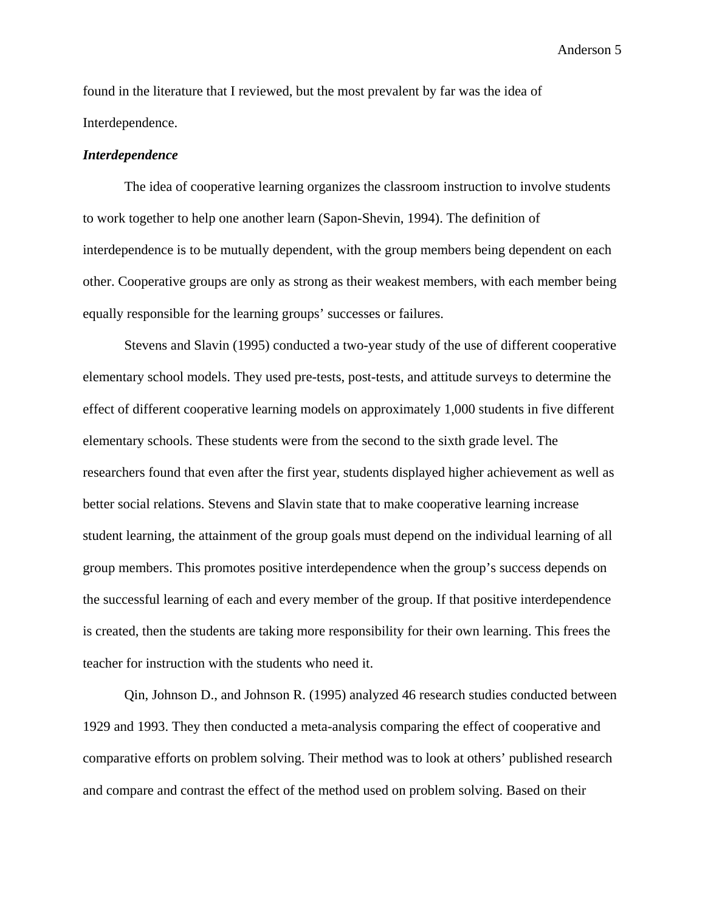found in the literature that I reviewed, but the most prevalent by far was the idea of Interdependence.

#### *Interdependence*

The idea of cooperative learning organizes the classroom instruction to involve students to work together to help one another learn (Sapon-Shevin, 1994). The definition of interdependence is to be mutually dependent, with the group members being dependent on each other. Cooperative groups are only as strong as their weakest members, with each member being equally responsible for the learning groups' successes or failures.

Stevens and Slavin (1995) conducted a two-year study of the use of different cooperative elementary school models. They used pre-tests, post-tests, and attitude surveys to determine the effect of different cooperative learning models on approximately 1,000 students in five different elementary schools. These students were from the second to the sixth grade level. The researchers found that even after the first year, students displayed higher achievement as well as better social relations. Stevens and Slavin state that to make cooperative learning increase student learning, the attainment of the group goals must depend on the individual learning of all group members. This promotes positive interdependence when the group's success depends on the successful learning of each and every member of the group. If that positive interdependence is created, then the students are taking more responsibility for their own learning. This frees the teacher for instruction with the students who need it.

Qin, Johnson D., and Johnson R. (1995) analyzed 46 research studies conducted between 1929 and 1993. They then conducted a meta-analysis comparing the effect of cooperative and comparative efforts on problem solving. Their method was to look at others' published research and compare and contrast the effect of the method used on problem solving. Based on their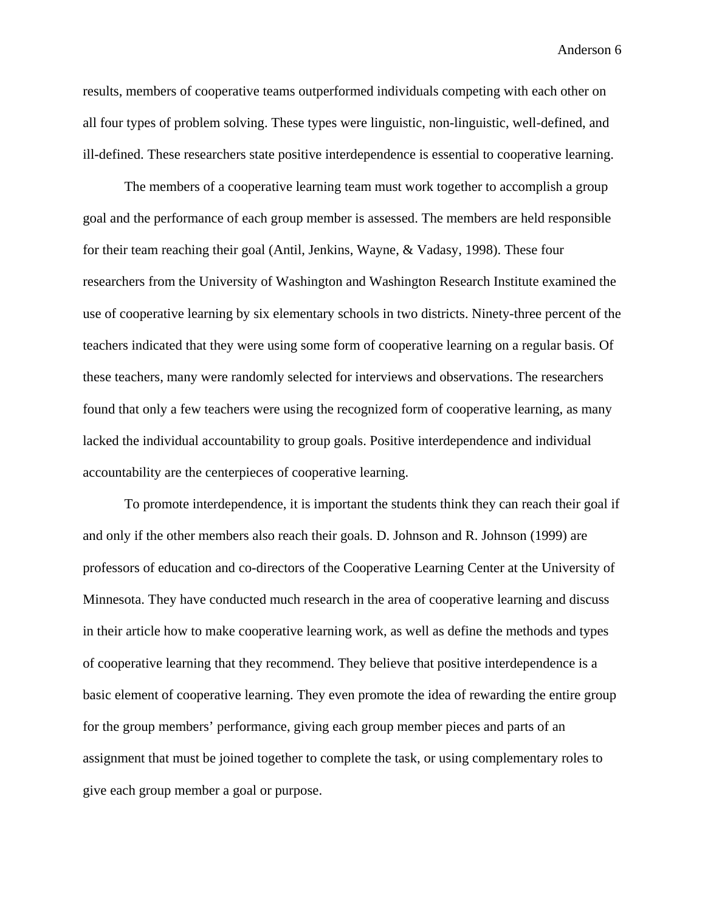results, members of cooperative teams outperformed individuals competing with each other on all four types of problem solving. These types were linguistic, non-linguistic, well-defined, and ill-defined. These researchers state positive interdependence is essential to cooperative learning.

The members of a cooperative learning team must work together to accomplish a group goal and the performance of each group member is assessed. The members are held responsible for their team reaching their goal (Antil, Jenkins, Wayne, & Vadasy, 1998). These four researchers from the University of Washington and Washington Research Institute examined the use of cooperative learning by six elementary schools in two districts. Ninety-three percent of the teachers indicated that they were using some form of cooperative learning on a regular basis. Of these teachers, many were randomly selected for interviews and observations. The researchers found that only a few teachers were using the recognized form of cooperative learning, as many lacked the individual accountability to group goals. Positive interdependence and individual accountability are the centerpieces of cooperative learning.

To promote interdependence, it is important the students think they can reach their goal if and only if the other members also reach their goals. D. Johnson and R. Johnson (1999) are professors of education and co-directors of the Cooperative Learning Center at the University of Minnesota. They have conducted much research in the area of cooperative learning and discuss in their article how to make cooperative learning work, as well as define the methods and types of cooperative learning that they recommend. They believe that positive interdependence is a basic element of cooperative learning. They even promote the idea of rewarding the entire group for the group members' performance, giving each group member pieces and parts of an assignment that must be joined together to complete the task, or using complementary roles to give each group member a goal or purpose.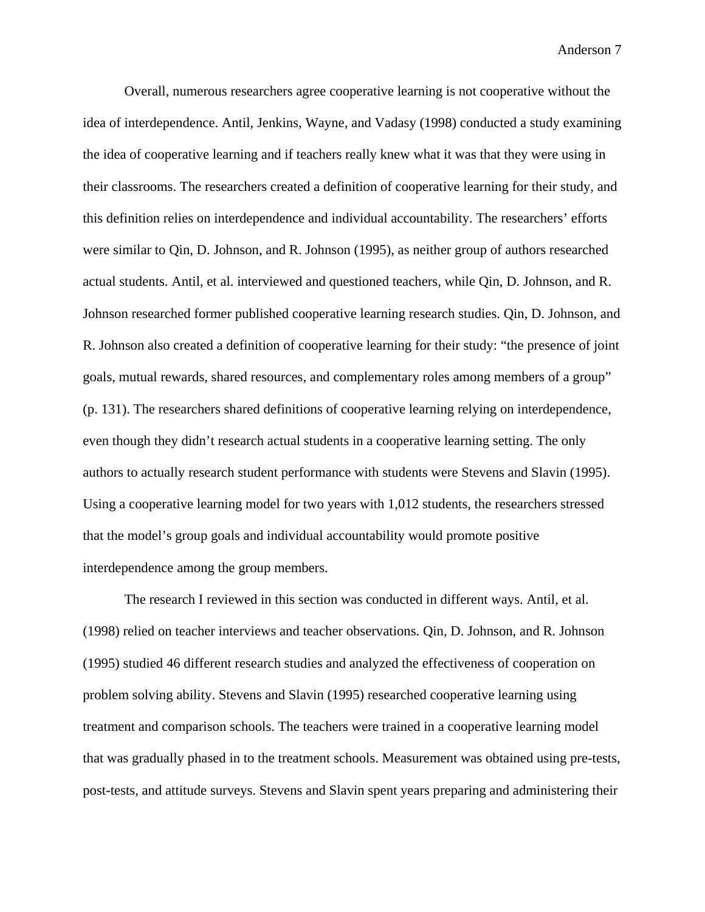Overall, numerous researchers agree cooperative learning is not cooperative without the idea of interdependence. Antil, Jenkins, Wayne, and Vadasy (1998) conducted a study examining the idea of cooperative learning and if teachers really knew what it was that they were using in their classrooms. The researchers created a definition of cooperative learning for their study, and this definition relies on interdependence and individual accountability. The researchers' efforts were similar to Qin, D. Johnson, and R. Johnson (1995), as neither group of authors researched actual students. Antil, et al. interviewed and questioned teachers, while Qin, D. Johnson, and R. Johnson researched former published cooperative learning research studies. Qin, D. Johnson, and R. Johnson also created a definition of cooperative learning for their study: "the presence of joint goals, mutual rewards, shared resources, and complementary roles among members of a group" (p. 131). The researchers shared definitions of cooperative learning relying on interdependence, even though they didn't research actual students in a cooperative learning setting. The only authors to actually research student performance with students were Stevens and Slavin (1995). Using a cooperative learning model for two years with 1,012 students, the researchers stressed that the model's group goals and individual accountability would promote positive interdependence among the group members.

The research I reviewed in this section was conducted in different ways. Antil, et al. (1998) relied on teacher interviews and teacher observations. Qin, D. Johnson, and R. Johnson (1995) studied 46 different research studies and analyzed the effectiveness of cooperation on problem solving ability. Stevens and Slavin (1995) researched cooperative learning using treatment and comparison schools. The teachers were trained in a cooperative learning model that was gradually phased in to the treatment schools. Measurement was obtained using pre-tests, post-tests, and attitude surveys. Stevens and Slavin spent years preparing and administering their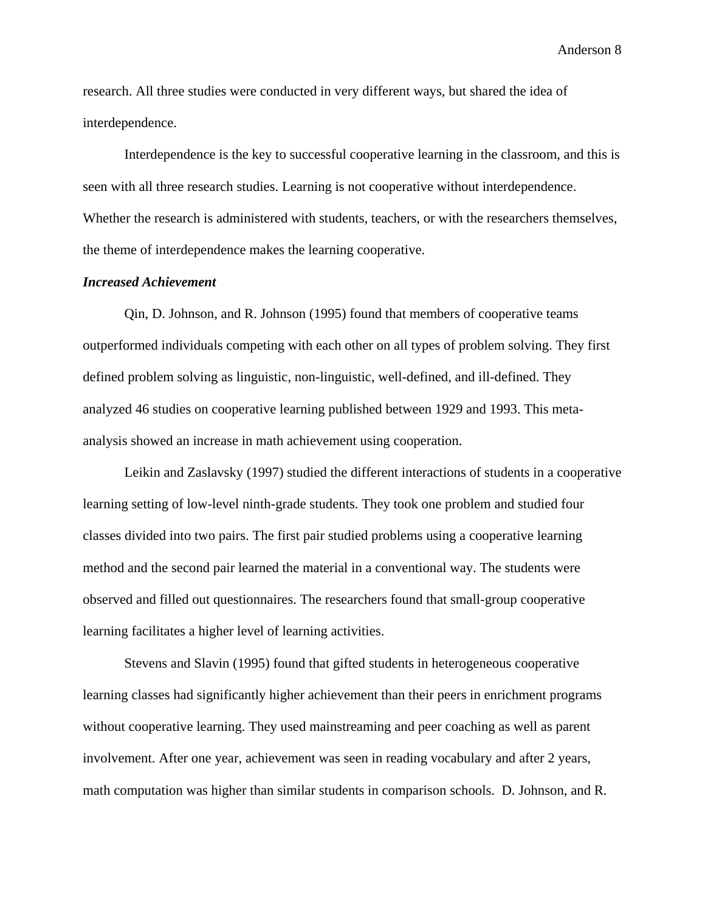research. All three studies were conducted in very different ways, but shared the idea of interdependence.

Interdependence is the key to successful cooperative learning in the classroom, and this is seen with all three research studies. Learning is not cooperative without interdependence. Whether the research is administered with students, teachers, or with the researchers themselves, the theme of interdependence makes the learning cooperative.

#### *Increased Achievement*

Qin, D. Johnson, and R. Johnson (1995) found that members of cooperative teams outperformed individuals competing with each other on all types of problem solving. They first defined problem solving as linguistic, non-linguistic, well-defined, and ill-defined. They analyzed 46 studies on cooperative learning published between 1929 and 1993. This metaanalysis showed an increase in math achievement using cooperation.

Leikin and Zaslavsky (1997) studied the different interactions of students in a cooperative learning setting of low-level ninth-grade students. They took one problem and studied four classes divided into two pairs. The first pair studied problems using a cooperative learning method and the second pair learned the material in a conventional way. The students were observed and filled out questionnaires. The researchers found that small-group cooperative learning facilitates a higher level of learning activities.

 Stevens and Slavin (1995) found that gifted students in heterogeneous cooperative learning classes had significantly higher achievement than their peers in enrichment programs without cooperative learning. They used mainstreaming and peer coaching as well as parent involvement. After one year, achievement was seen in reading vocabulary and after 2 years, math computation was higher than similar students in comparison schools. D. Johnson, and R.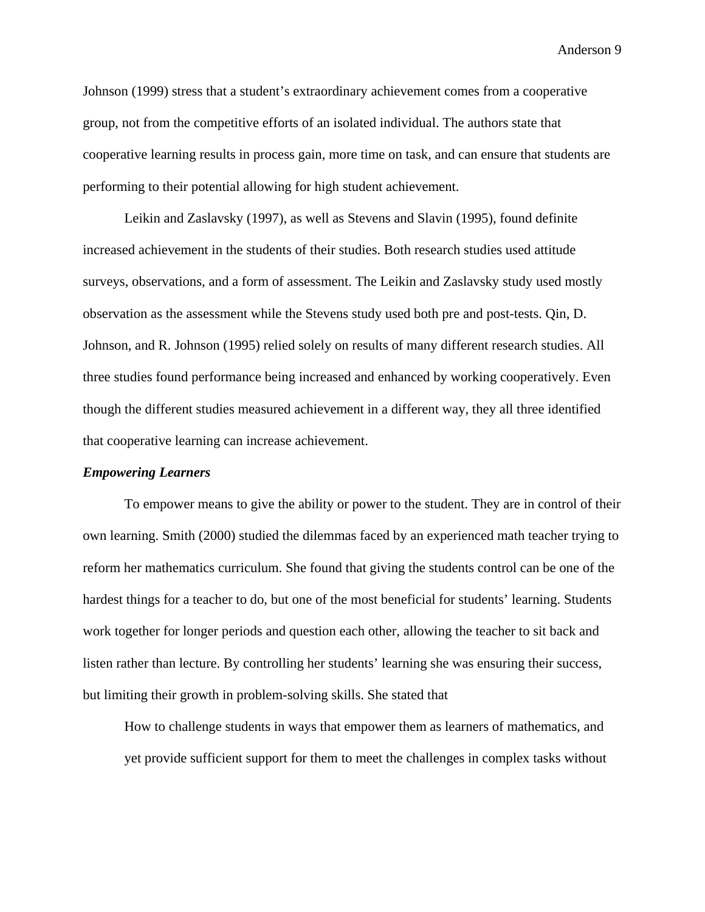Johnson (1999) stress that a student's extraordinary achievement comes from a cooperative group, not from the competitive efforts of an isolated individual. The authors state that cooperative learning results in process gain, more time on task, and can ensure that students are performing to their potential allowing for high student achievement.

Leikin and Zaslavsky (1997), as well as Stevens and Slavin (1995), found definite increased achievement in the students of their studies. Both research studies used attitude surveys, observations, and a form of assessment. The Leikin and Zaslavsky study used mostly observation as the assessment while the Stevens study used both pre and post-tests. Qin, D. Johnson, and R. Johnson (1995) relied solely on results of many different research studies. All three studies found performance being increased and enhanced by working cooperatively. Even though the different studies measured achievement in a different way, they all three identified that cooperative learning can increase achievement.

#### *Empowering Learners*

To empower means to give the ability or power to the student. They are in control of their own learning. Smith (2000) studied the dilemmas faced by an experienced math teacher trying to reform her mathematics curriculum. She found that giving the students control can be one of the hardest things for a teacher to do, but one of the most beneficial for students' learning. Students work together for longer periods and question each other, allowing the teacher to sit back and listen rather than lecture. By controlling her students' learning she was ensuring their success, but limiting their growth in problem-solving skills. She stated that

How to challenge students in ways that empower them as learners of mathematics, and yet provide sufficient support for them to meet the challenges in complex tasks without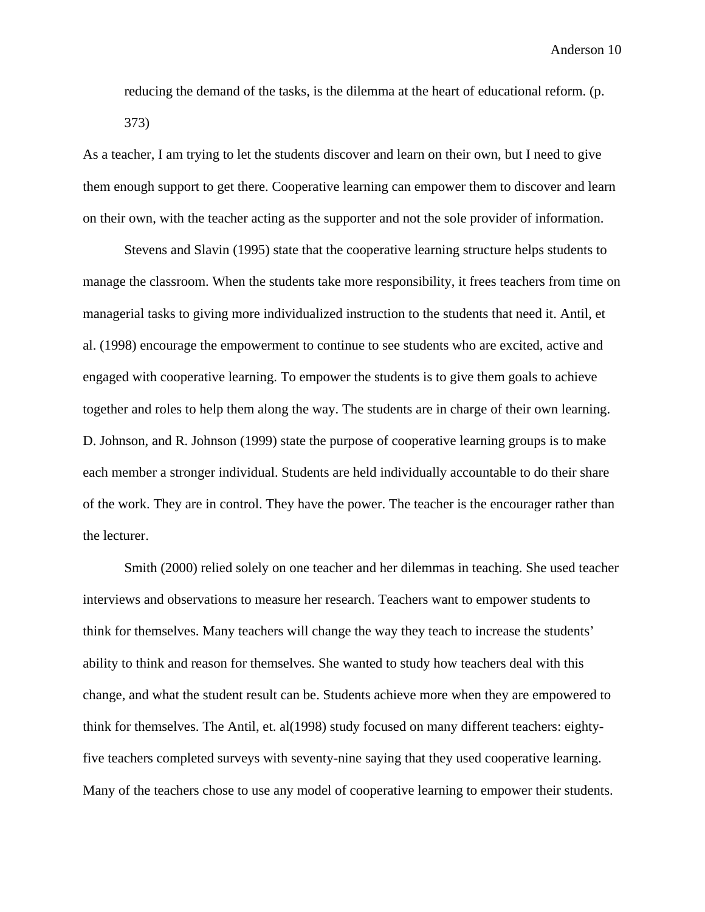reducing the demand of the tasks, is the dilemma at the heart of educational reform. (p. 373)

As a teacher, I am trying to let the students discover and learn on their own, but I need to give them enough support to get there. Cooperative learning can empower them to discover and learn on their own, with the teacher acting as the supporter and not the sole provider of information.

Stevens and Slavin (1995) state that the cooperative learning structure helps students to manage the classroom. When the students take more responsibility, it frees teachers from time on managerial tasks to giving more individualized instruction to the students that need it. Antil, et al. (1998) encourage the empowerment to continue to see students who are excited, active and engaged with cooperative learning. To empower the students is to give them goals to achieve together and roles to help them along the way. The students are in charge of their own learning. D. Johnson, and R. Johnson (1999) state the purpose of cooperative learning groups is to make each member a stronger individual. Students are held individually accountable to do their share of the work. They are in control. They have the power. The teacher is the encourager rather than the lecturer.

Smith (2000) relied solely on one teacher and her dilemmas in teaching. She used teacher interviews and observations to measure her research. Teachers want to empower students to think for themselves. Many teachers will change the way they teach to increase the students' ability to think and reason for themselves. She wanted to study how teachers deal with this change, and what the student result can be. Students achieve more when they are empowered to think for themselves. The Antil, et. al(1998) study focused on many different teachers: eightyfive teachers completed surveys with seventy-nine saying that they used cooperative learning. Many of the teachers chose to use any model of cooperative learning to empower their students.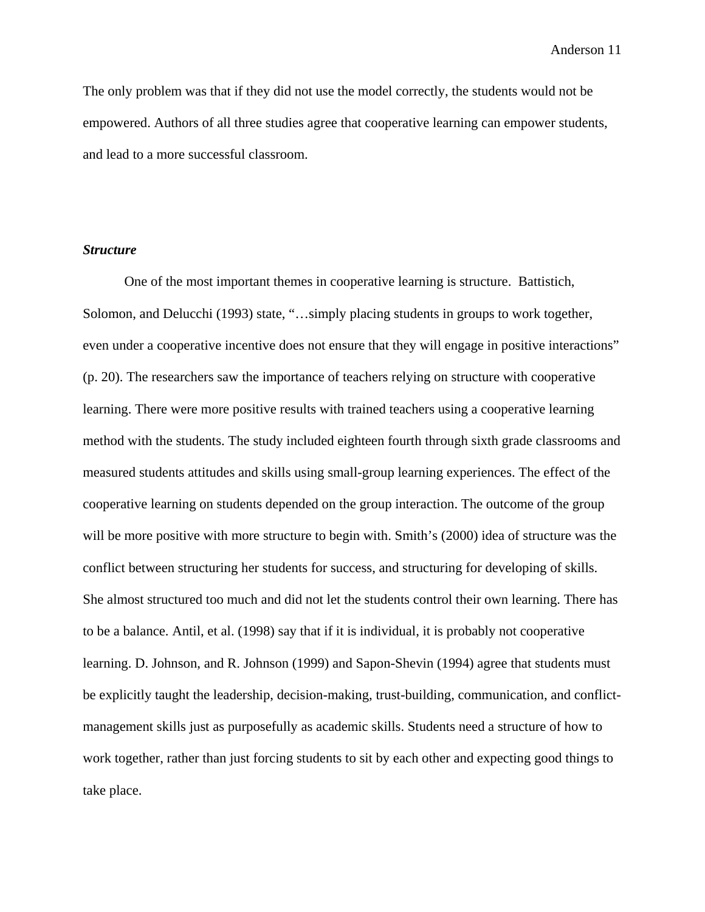The only problem was that if they did not use the model correctly, the students would not be empowered. Authors of all three studies agree that cooperative learning can empower students, and lead to a more successful classroom.

#### *Structure*

One of the most important themes in cooperative learning is structure. Battistich, Solomon, and Delucchi (1993) state, "…simply placing students in groups to work together, even under a cooperative incentive does not ensure that they will engage in positive interactions" (p. 20). The researchers saw the importance of teachers relying on structure with cooperative learning. There were more positive results with trained teachers using a cooperative learning method with the students. The study included eighteen fourth through sixth grade classrooms and measured students attitudes and skills using small-group learning experiences. The effect of the cooperative learning on students depended on the group interaction. The outcome of the group will be more positive with more structure to begin with. Smith's (2000) idea of structure was the conflict between structuring her students for success, and structuring for developing of skills. She almost structured too much and did not let the students control their own learning. There has to be a balance. Antil, et al. (1998) say that if it is individual, it is probably not cooperative learning. D. Johnson, and R. Johnson (1999) and Sapon-Shevin (1994) agree that students must be explicitly taught the leadership, decision-making, trust-building, communication, and conflictmanagement skills just as purposefully as academic skills. Students need a structure of how to work together, rather than just forcing students to sit by each other and expecting good things to take place.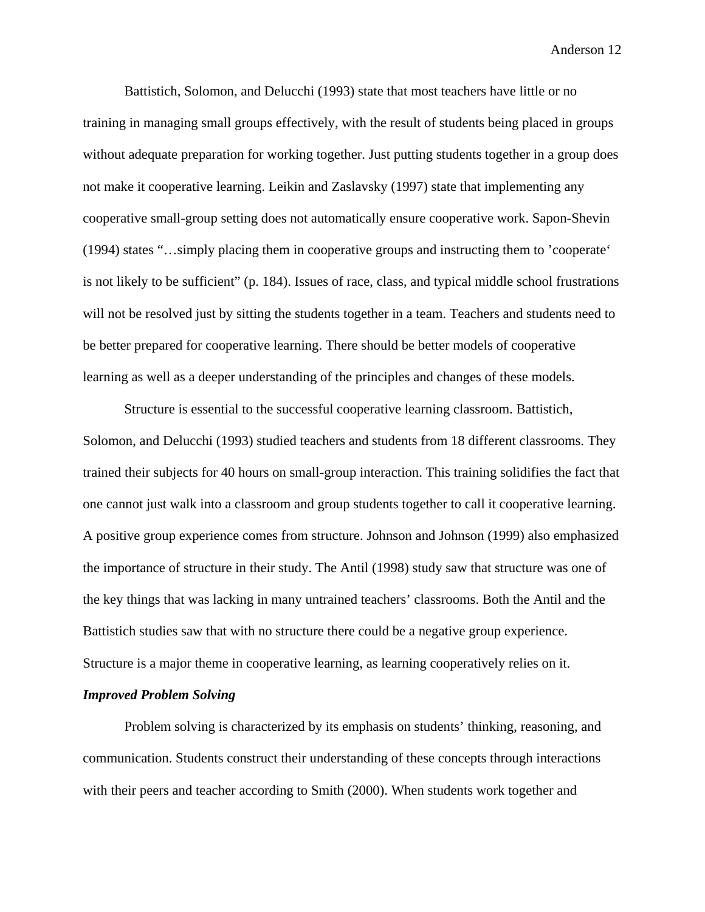Battistich, Solomon, and Delucchi (1993) state that most teachers have little or no training in managing small groups effectively, with the result of students being placed in groups without adequate preparation for working together. Just putting students together in a group does not make it cooperative learning. Leikin and Zaslavsky (1997) state that implementing any cooperative small-group setting does not automatically ensure cooperative work. Sapon-Shevin (1994) states "…simply placing them in cooperative groups and instructing them to 'cooperate' is not likely to be sufficient" (p. 184). Issues of race, class, and typical middle school frustrations will not be resolved just by sitting the students together in a team. Teachers and students need to be better prepared for cooperative learning. There should be better models of cooperative learning as well as a deeper understanding of the principles and changes of these models.

Structure is essential to the successful cooperative learning classroom. Battistich, Solomon, and Delucchi (1993) studied teachers and students from 18 different classrooms. They trained their subjects for 40 hours on small-group interaction. This training solidifies the fact that one cannot just walk into a classroom and group students together to call it cooperative learning. A positive group experience comes from structure. Johnson and Johnson (1999) also emphasized the importance of structure in their study. The Antil (1998) study saw that structure was one of the key things that was lacking in many untrained teachers' classrooms. Both the Antil and the Battistich studies saw that with no structure there could be a negative group experience. Structure is a major theme in cooperative learning, as learning cooperatively relies on it.

#### *Improved Problem Solving*

Problem solving is characterized by its emphasis on students' thinking, reasoning, and communication. Students construct their understanding of these concepts through interactions with their peers and teacher according to Smith (2000). When students work together and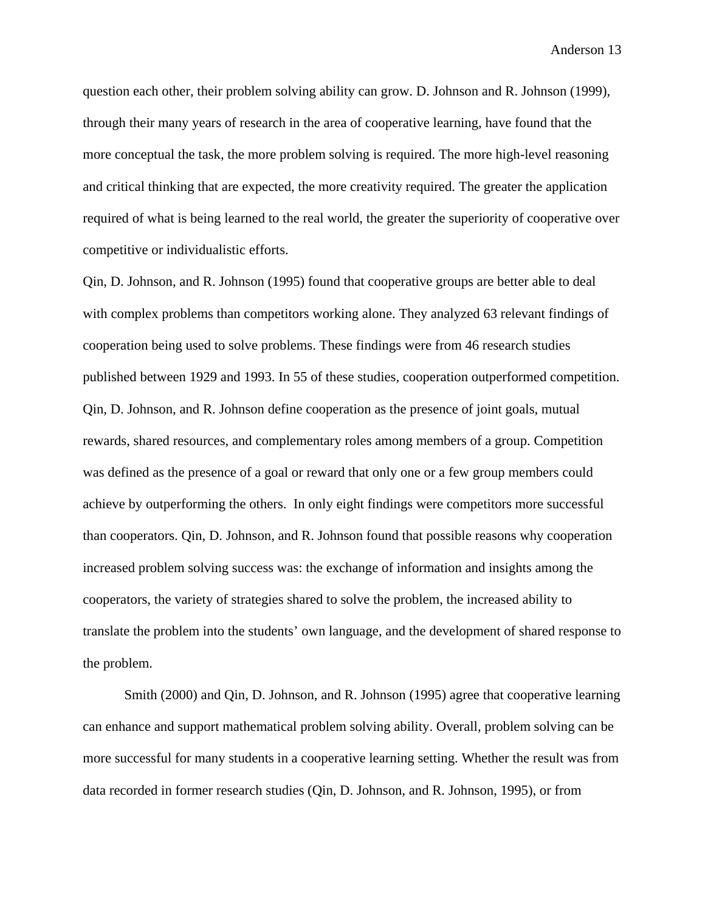question each other, their problem solving ability can grow. D. Johnson and R. Johnson (1999), through their many years of research in the area of cooperative learning, have found that the more conceptual the task, the more problem solving is required. The more high-level reasoning and critical thinking that are expected, the more creativity required. The greater the application required of what is being learned to the real world, the greater the superiority of cooperative over competitive or individualistic efforts.

Qin, D. Johnson, and R. Johnson (1995) found that cooperative groups are better able to deal with complex problems than competitors working alone. They analyzed 63 relevant findings of cooperation being used to solve problems. These findings were from 46 research studies published between 1929 and 1993. In 55 of these studies, cooperation outperformed competition. Qin, D. Johnson, and R. Johnson define cooperation as the presence of joint goals, mutual rewards, shared resources, and complementary roles among members of a group. Competition was defined as the presence of a goal or reward that only one or a few group members could achieve by outperforming the others. In only eight findings were competitors more successful than cooperators. Qin, D. Johnson, and R. Johnson found that possible reasons why cooperation increased problem solving success was: the exchange of information and insights among the cooperators, the variety of strategies shared to solve the problem, the increased ability to translate the problem into the students' own language, and the development of shared response to the problem.

Smith (2000) and Qin, D. Johnson, and R. Johnson (1995) agree that cooperative learning can enhance and support mathematical problem solving ability. Overall, problem solving can be more successful for many students in a cooperative learning setting. Whether the result was from data recorded in former research studies (Qin, D. Johnson, and R. Johnson, 1995), or from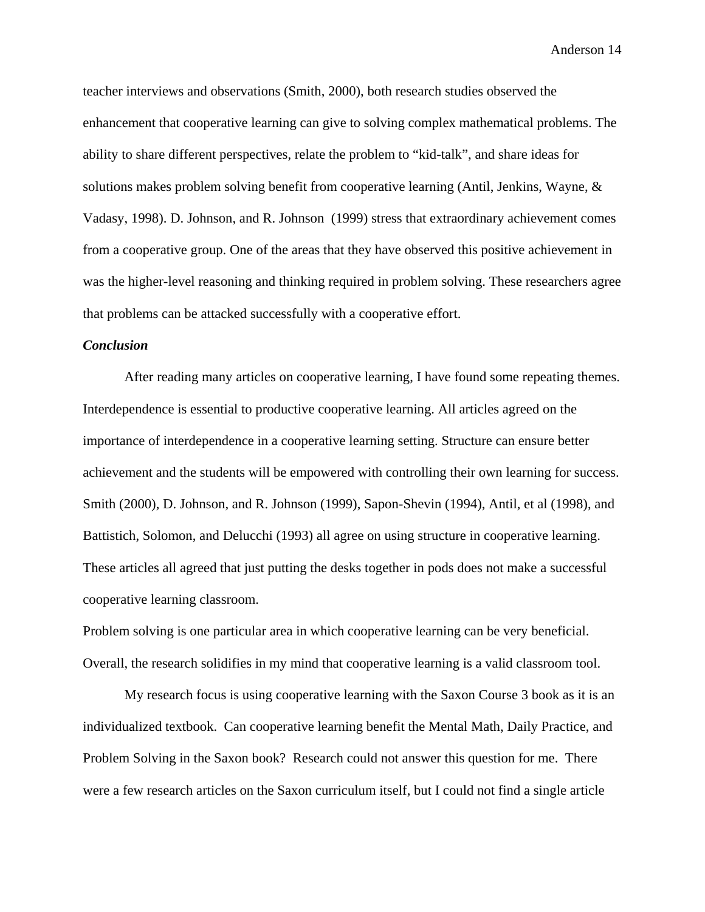teacher interviews and observations (Smith, 2000), both research studies observed the enhancement that cooperative learning can give to solving complex mathematical problems. The ability to share different perspectives, relate the problem to "kid-talk", and share ideas for solutions makes problem solving benefit from cooperative learning (Antil, Jenkins, Wayne, & Vadasy, 1998). D. Johnson, and R. Johnson (1999) stress that extraordinary achievement comes from a cooperative group. One of the areas that they have observed this positive achievement in was the higher-level reasoning and thinking required in problem solving. These researchers agree that problems can be attacked successfully with a cooperative effort.

#### *Conclusion*

After reading many articles on cooperative learning, I have found some repeating themes. Interdependence is essential to productive cooperative learning. All articles agreed on the importance of interdependence in a cooperative learning setting. Structure can ensure better achievement and the students will be empowered with controlling their own learning for success. Smith (2000), D. Johnson, and R. Johnson (1999), Sapon-Shevin (1994), Antil, et al (1998), and Battistich, Solomon, and Delucchi (1993) all agree on using structure in cooperative learning. These articles all agreed that just putting the desks together in pods does not make a successful cooperative learning classroom.

Problem solving is one particular area in which cooperative learning can be very beneficial. Overall, the research solidifies in my mind that cooperative learning is a valid classroom tool.

My research focus is using cooperative learning with the Saxon Course 3 book as it is an individualized textbook. Can cooperative learning benefit the Mental Math, Daily Practice, and Problem Solving in the Saxon book? Research could not answer this question for me. There were a few research articles on the Saxon curriculum itself, but I could not find a single article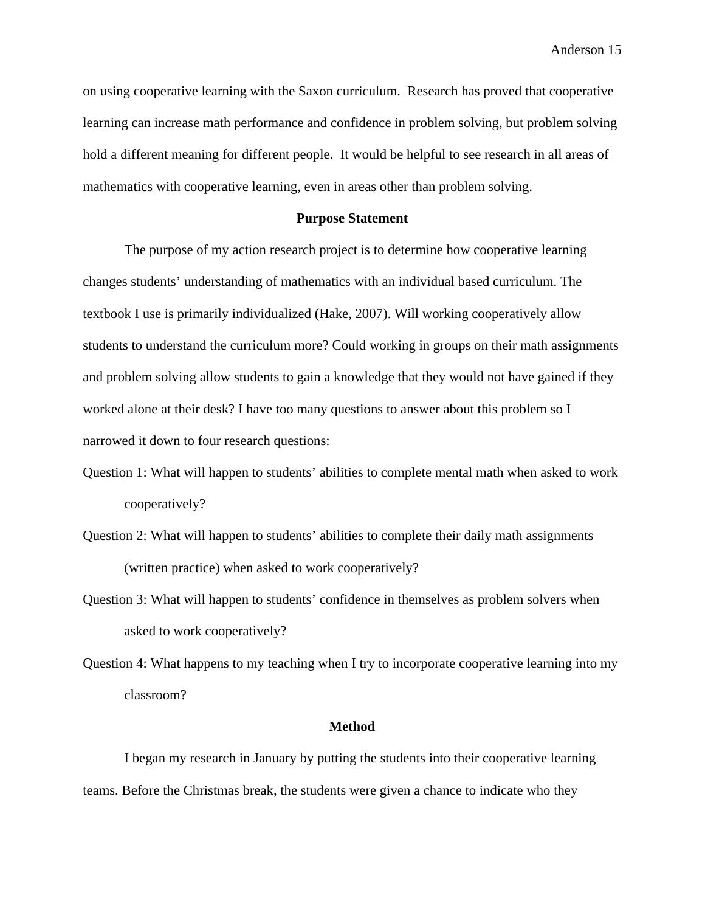on using cooperative learning with the Saxon curriculum. Research has proved that cooperative learning can increase math performance and confidence in problem solving, but problem solving hold a different meaning for different people. It would be helpful to see research in all areas of mathematics with cooperative learning, even in areas other than problem solving.

#### **Purpose Statement**

 The purpose of my action research project is to determine how cooperative learning changes students' understanding of mathematics with an individual based curriculum. The textbook I use is primarily individualized (Hake, 2007). Will working cooperatively allow students to understand the curriculum more? Could working in groups on their math assignments and problem solving allow students to gain a knowledge that they would not have gained if they worked alone at their desk? I have too many questions to answer about this problem so I narrowed it down to four research questions:

- Question 1: What will happen to students' abilities to complete mental math when asked to work cooperatively?
- Question 2: What will happen to students' abilities to complete their daily math assignments (written practice) when asked to work cooperatively?
- Question 3: What will happen to students' confidence in themselves as problem solvers when asked to work cooperatively?
- Question 4: What happens to my teaching when I try to incorporate cooperative learning into my classroom?

#### **Method**

I began my research in January by putting the students into their cooperative learning teams. Before the Christmas break, the students were given a chance to indicate who they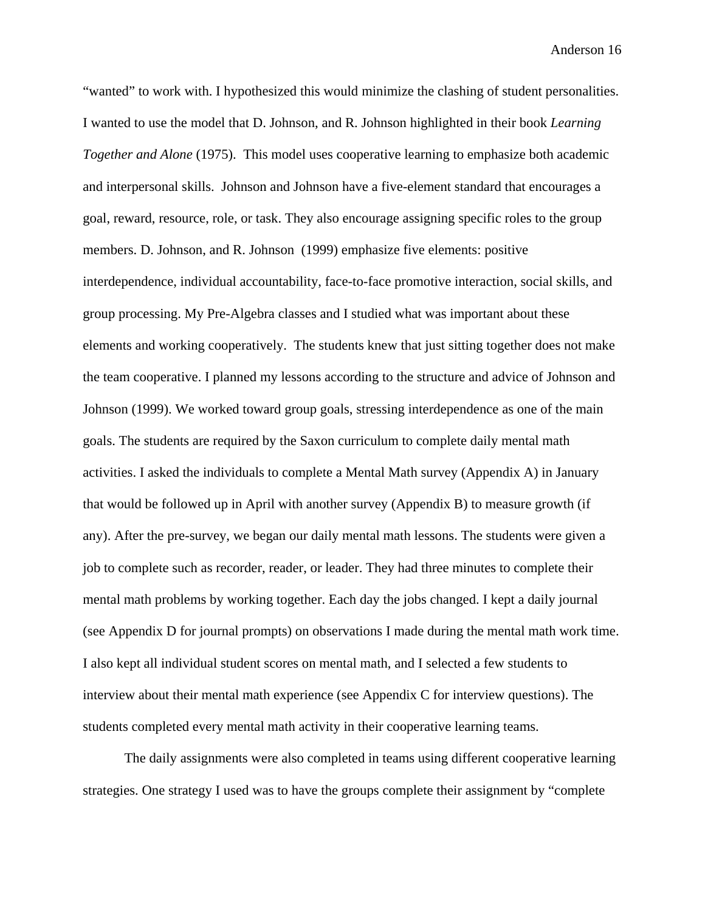"wanted" to work with. I hypothesized this would minimize the clashing of student personalities. I wanted to use the model that D. Johnson, and R. Johnson highlighted in their book *Learning Together and Alone* (1975). This model uses cooperative learning to emphasize both academic and interpersonal skills. Johnson and Johnson have a five-element standard that encourages a goal, reward, resource, role, or task. They also encourage assigning specific roles to the group members. D. Johnson, and R. Johnson (1999) emphasize five elements: positive interdependence, individual accountability, face-to-face promotive interaction, social skills, and group processing. My Pre-Algebra classes and I studied what was important about these elements and working cooperatively. The students knew that just sitting together does not make the team cooperative. I planned my lessons according to the structure and advice of Johnson and Johnson (1999). We worked toward group goals, stressing interdependence as one of the main goals. The students are required by the Saxon curriculum to complete daily mental math activities. I asked the individuals to complete a Mental Math survey (Appendix A) in January that would be followed up in April with another survey (Appendix B) to measure growth (if any). After the pre-survey, we began our daily mental math lessons. The students were given a job to complete such as recorder, reader, or leader. They had three minutes to complete their mental math problems by working together. Each day the jobs changed. I kept a daily journal (see Appendix D for journal prompts) on observations I made during the mental math work time. I also kept all individual student scores on mental math, and I selected a few students to interview about their mental math experience (see Appendix C for interview questions). The students completed every mental math activity in their cooperative learning teams.

 The daily assignments were also completed in teams using different cooperative learning strategies. One strategy I used was to have the groups complete their assignment by "complete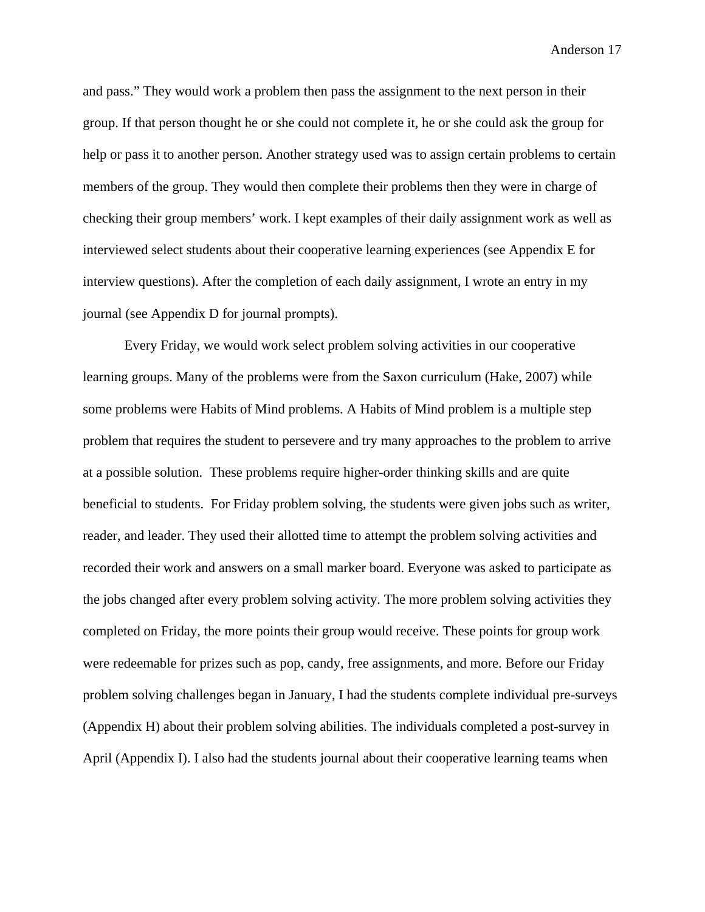and pass." They would work a problem then pass the assignment to the next person in their group. If that person thought he or she could not complete it, he or she could ask the group for help or pass it to another person. Another strategy used was to assign certain problems to certain members of the group. They would then complete their problems then they were in charge of checking their group members' work. I kept examples of their daily assignment work as well as interviewed select students about their cooperative learning experiences (see Appendix E for interview questions). After the completion of each daily assignment, I wrote an entry in my journal (see Appendix D for journal prompts).

Every Friday, we would work select problem solving activities in our cooperative learning groups. Many of the problems were from the Saxon curriculum (Hake, 2007) while some problems were Habits of Mind problems. A Habits of Mind problem is a multiple step problem that requires the student to persevere and try many approaches to the problem to arrive at a possible solution. These problems require higher-order thinking skills and are quite beneficial to students. For Friday problem solving, the students were given jobs such as writer, reader, and leader. They used their allotted time to attempt the problem solving activities and recorded their work and answers on a small marker board. Everyone was asked to participate as the jobs changed after every problem solving activity. The more problem solving activities they completed on Friday, the more points their group would receive. These points for group work were redeemable for prizes such as pop, candy, free assignments, and more. Before our Friday problem solving challenges began in January, I had the students complete individual pre-surveys (Appendix H) about their problem solving abilities. The individuals completed a post-survey in April (Appendix I). I also had the students journal about their cooperative learning teams when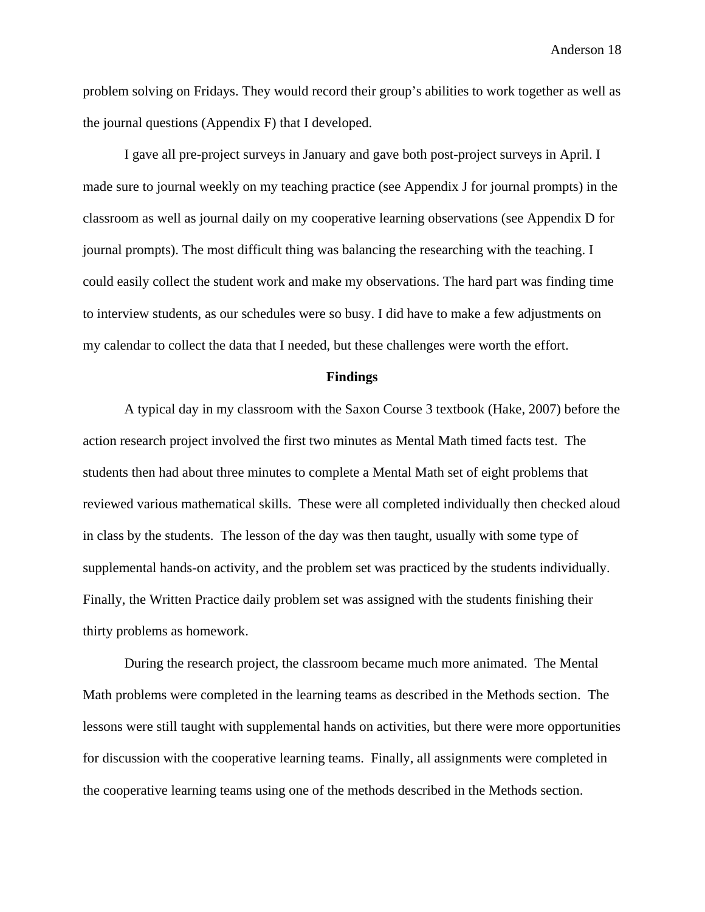problem solving on Fridays. They would record their group's abilities to work together as well as the journal questions (Appendix F) that I developed.

I gave all pre-project surveys in January and gave both post-project surveys in April. I made sure to journal weekly on my teaching practice (see Appendix J for journal prompts) in the classroom as well as journal daily on my cooperative learning observations (see Appendix D for journal prompts). The most difficult thing was balancing the researching with the teaching. I could easily collect the student work and make my observations. The hard part was finding time to interview students, as our schedules were so busy. I did have to make a few adjustments on my calendar to collect the data that I needed, but these challenges were worth the effort.

#### **Findings**

 A typical day in my classroom with the Saxon Course 3 textbook (Hake, 2007) before the action research project involved the first two minutes as Mental Math timed facts test. The students then had about three minutes to complete a Mental Math set of eight problems that reviewed various mathematical skills. These were all completed individually then checked aloud in class by the students. The lesson of the day was then taught, usually with some type of supplemental hands-on activity, and the problem set was practiced by the students individually. Finally, the Written Practice daily problem set was assigned with the students finishing their thirty problems as homework.

During the research project, the classroom became much more animated. The Mental Math problems were completed in the learning teams as described in the Methods section. The lessons were still taught with supplemental hands on activities, but there were more opportunities for discussion with the cooperative learning teams. Finally, all assignments were completed in the cooperative learning teams using one of the methods described in the Methods section.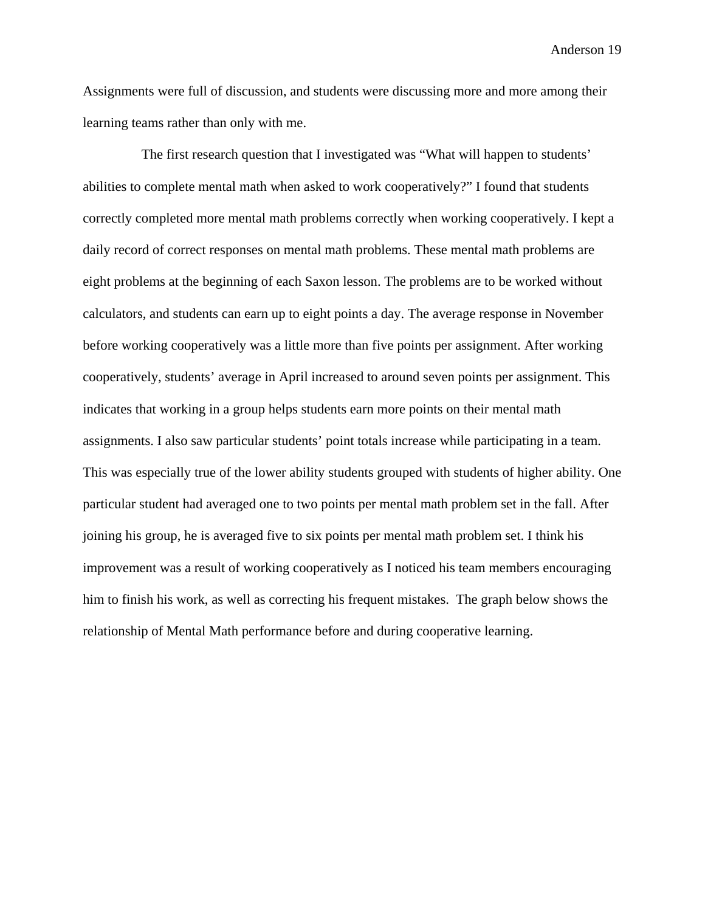Assignments were full of discussion, and students were discussing more and more among their learning teams rather than only with me.

 The first research question that I investigated was "What will happen to students' abilities to complete mental math when asked to work cooperatively?" I found that students correctly completed more mental math problems correctly when working cooperatively. I kept a daily record of correct responses on mental math problems. These mental math problems are eight problems at the beginning of each Saxon lesson. The problems are to be worked without calculators, and students can earn up to eight points a day. The average response in November before working cooperatively was a little more than five points per assignment. After working cooperatively, students' average in April increased to around seven points per assignment. This indicates that working in a group helps students earn more points on their mental math assignments. I also saw particular students' point totals increase while participating in a team. This was especially true of the lower ability students grouped with students of higher ability. One particular student had averaged one to two points per mental math problem set in the fall. After joining his group, he is averaged five to six points per mental math problem set. I think his improvement was a result of working cooperatively as I noticed his team members encouraging him to finish his work, as well as correcting his frequent mistakes. The graph below shows the relationship of Mental Math performance before and during cooperative learning.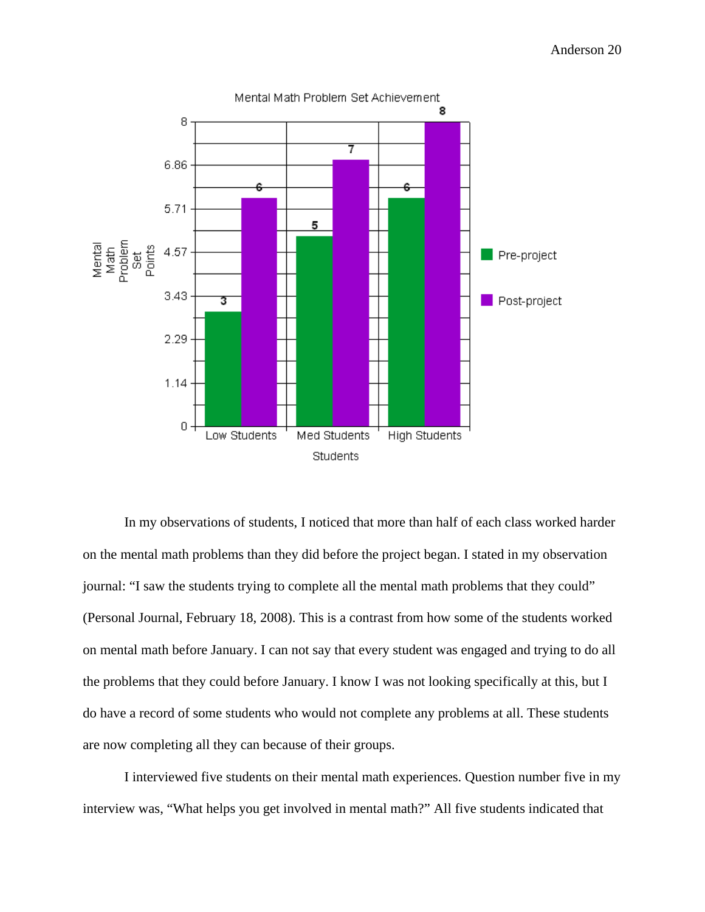

In my observations of students, I noticed that more than half of each class worked harder on the mental math problems than they did before the project began. I stated in my observation journal: "I saw the students trying to complete all the mental math problems that they could" (Personal Journal, February 18, 2008). This is a contrast from how some of the students worked on mental math before January. I can not say that every student was engaged and trying to do all the problems that they could before January. I know I was not looking specifically at this, but I do have a record of some students who would not complete any problems at all. These students are now completing all they can because of their groups.

I interviewed five students on their mental math experiences. Question number five in my interview was, "What helps you get involved in mental math?" All five students indicated that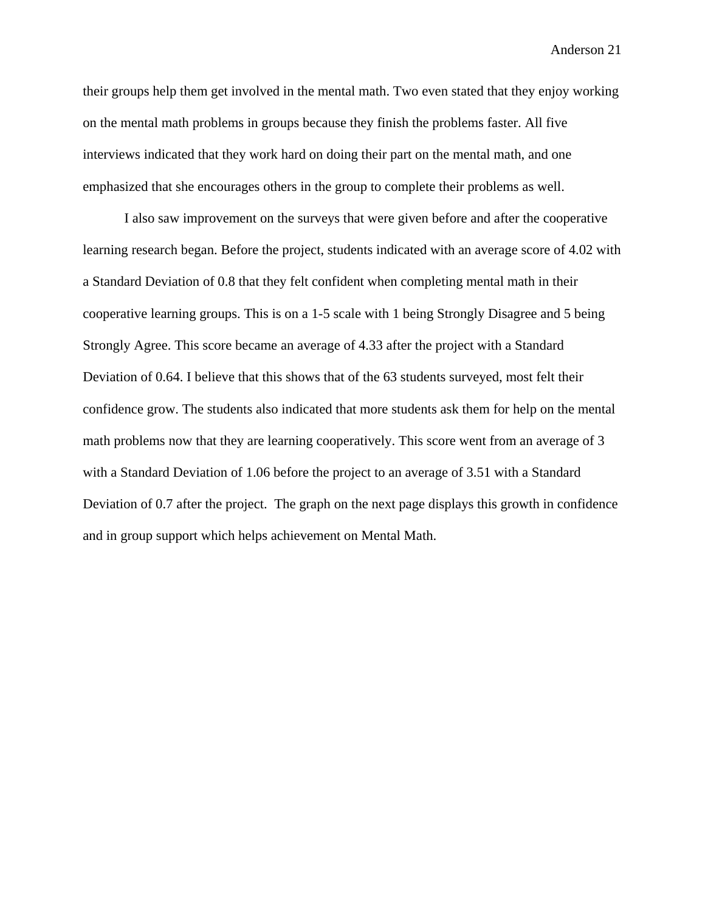their groups help them get involved in the mental math. Two even stated that they enjoy working on the mental math problems in groups because they finish the problems faster. All five interviews indicated that they work hard on doing their part on the mental math, and one emphasized that she encourages others in the group to complete their problems as well.

I also saw improvement on the surveys that were given before and after the cooperative learning research began. Before the project, students indicated with an average score of 4.02 with a Standard Deviation of 0.8 that they felt confident when completing mental math in their cooperative learning groups. This is on a 1-5 scale with 1 being Strongly Disagree and 5 being Strongly Agree. This score became an average of 4.33 after the project with a Standard Deviation of 0.64. I believe that this shows that of the 63 students surveyed, most felt their confidence grow. The students also indicated that more students ask them for help on the mental math problems now that they are learning cooperatively. This score went from an average of 3 with a Standard Deviation of 1.06 before the project to an average of 3.51 with a Standard Deviation of 0.7 after the project. The graph on the next page displays this growth in confidence and in group support which helps achievement on Mental Math.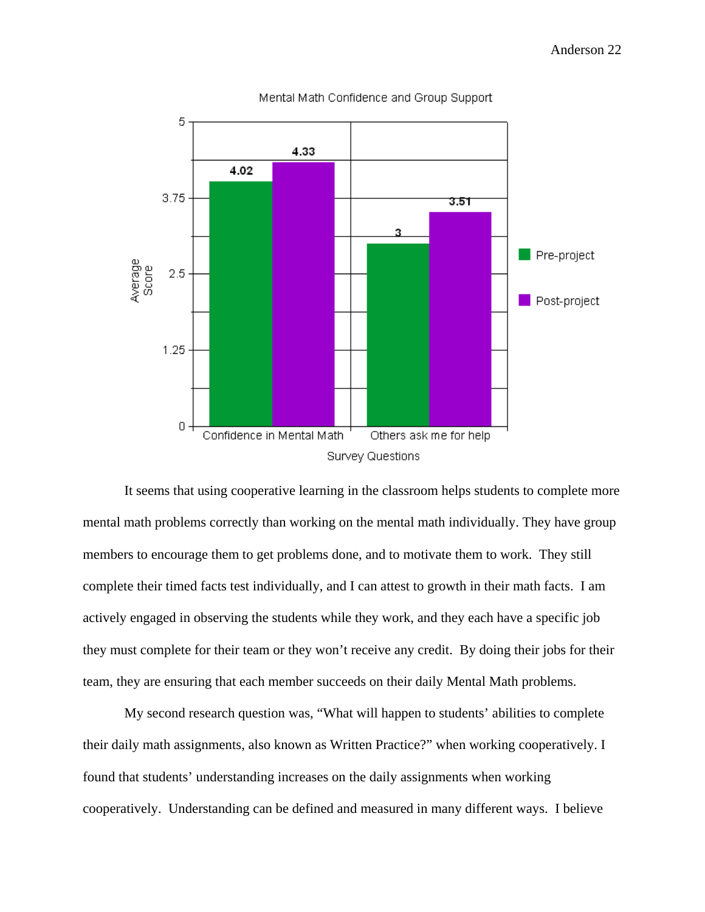

Mental Math Confidence and Group Support

It seems that using cooperative learning in the classroom helps students to complete more mental math problems correctly than working on the mental math individually. They have group members to encourage them to get problems done, and to motivate them to work. They still complete their timed facts test individually, and I can attest to growth in their math facts. I am actively engaged in observing the students while they work, and they each have a specific job they must complete for their team or they won't receive any credit. By doing their jobs for their team, they are ensuring that each member succeeds on their daily Mental Math problems.

My second research question was, "What will happen to students' abilities to complete their daily math assignments, also known as Written Practice?" when working cooperatively. I found that students' understanding increases on the daily assignments when working cooperatively. Understanding can be defined and measured in many different ways. I believe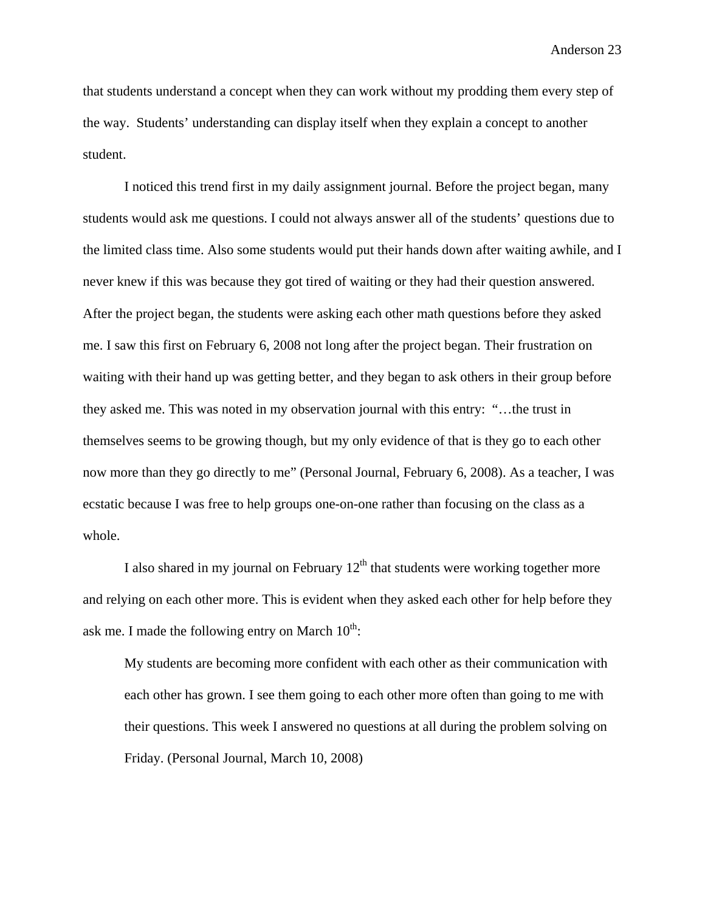that students understand a concept when they can work without my prodding them every step of the way. Students' understanding can display itself when they explain a concept to another student.

I noticed this trend first in my daily assignment journal. Before the project began, many students would ask me questions. I could not always answer all of the students' questions due to the limited class time. Also some students would put their hands down after waiting awhile, and I never knew if this was because they got tired of waiting or they had their question answered. After the project began, the students were asking each other math questions before they asked me. I saw this first on February 6, 2008 not long after the project began. Their frustration on waiting with their hand up was getting better, and they began to ask others in their group before they asked me. This was noted in my observation journal with this entry: "…the trust in themselves seems to be growing though, but my only evidence of that is they go to each other now more than they go directly to me" (Personal Journal, February 6, 2008). As a teacher, I was ecstatic because I was free to help groups one-on-one rather than focusing on the class as a whole.

I also shared in my journal on February  $12<sup>th</sup>$  that students were working together more and relying on each other more. This is evident when they asked each other for help before they ask me. I made the following entry on March  $10^{th}$ :

My students are becoming more confident with each other as their communication with each other has grown. I see them going to each other more often than going to me with their questions. This week I answered no questions at all during the problem solving on Friday. (Personal Journal, March 10, 2008)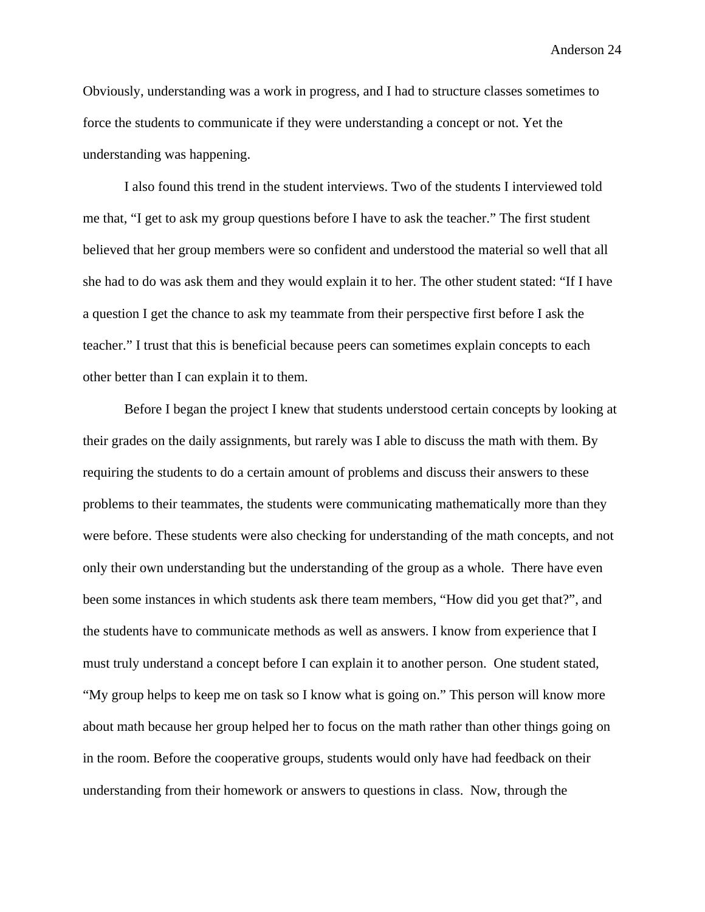Obviously, understanding was a work in progress, and I had to structure classes sometimes to force the students to communicate if they were understanding a concept or not. Yet the understanding was happening.

I also found this trend in the student interviews. Two of the students I interviewed told me that, "I get to ask my group questions before I have to ask the teacher." The first student believed that her group members were so confident and understood the material so well that all she had to do was ask them and they would explain it to her. The other student stated: "If I have a question I get the chance to ask my teammate from their perspective first before I ask the teacher." I trust that this is beneficial because peers can sometimes explain concepts to each other better than I can explain it to them.

Before I began the project I knew that students understood certain concepts by looking at their grades on the daily assignments, but rarely was I able to discuss the math with them. By requiring the students to do a certain amount of problems and discuss their answers to these problems to their teammates, the students were communicating mathematically more than they were before. These students were also checking for understanding of the math concepts, and not only their own understanding but the understanding of the group as a whole. There have even been some instances in which students ask there team members, "How did you get that?", and the students have to communicate methods as well as answers. I know from experience that I must truly understand a concept before I can explain it to another person. One student stated, "My group helps to keep me on task so I know what is going on." This person will know more about math because her group helped her to focus on the math rather than other things going on in the room. Before the cooperative groups, students would only have had feedback on their understanding from their homework or answers to questions in class. Now, through the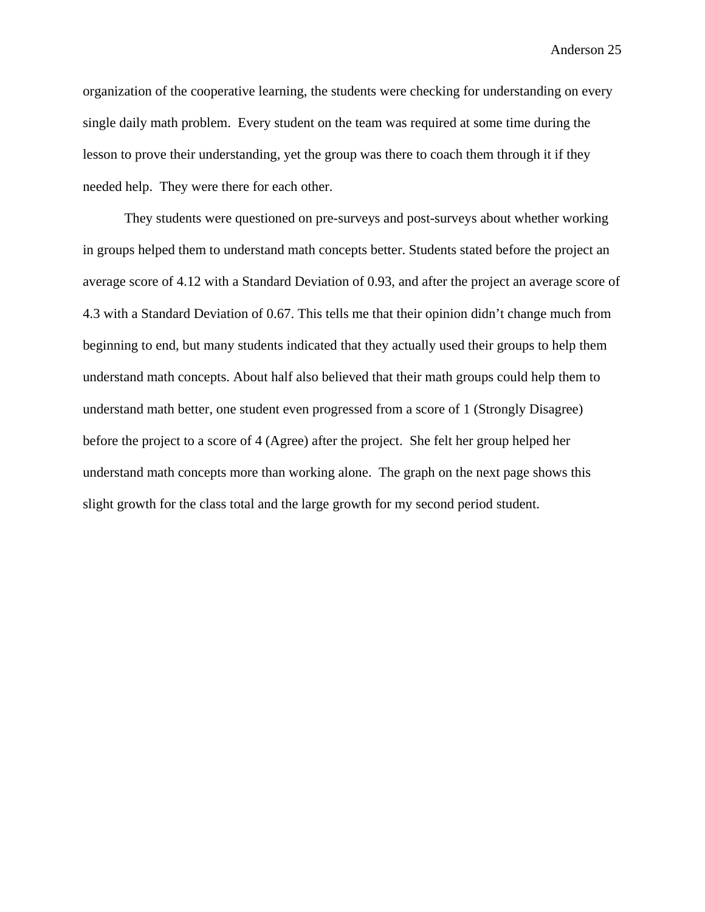organization of the cooperative learning, the students were checking for understanding on every single daily math problem. Every student on the team was required at some time during the lesson to prove their understanding, yet the group was there to coach them through it if they needed help. They were there for each other.

They students were questioned on pre-surveys and post-surveys about whether working in groups helped them to understand math concepts better. Students stated before the project an average score of 4.12 with a Standard Deviation of 0.93, and after the project an average score of 4.3 with a Standard Deviation of 0.67. This tells me that their opinion didn't change much from beginning to end, but many students indicated that they actually used their groups to help them understand math concepts. About half also believed that their math groups could help them to understand math better, one student even progressed from a score of 1 (Strongly Disagree) before the project to a score of 4 (Agree) after the project. She felt her group helped her understand math concepts more than working alone. The graph on the next page shows this slight growth for the class total and the large growth for my second period student.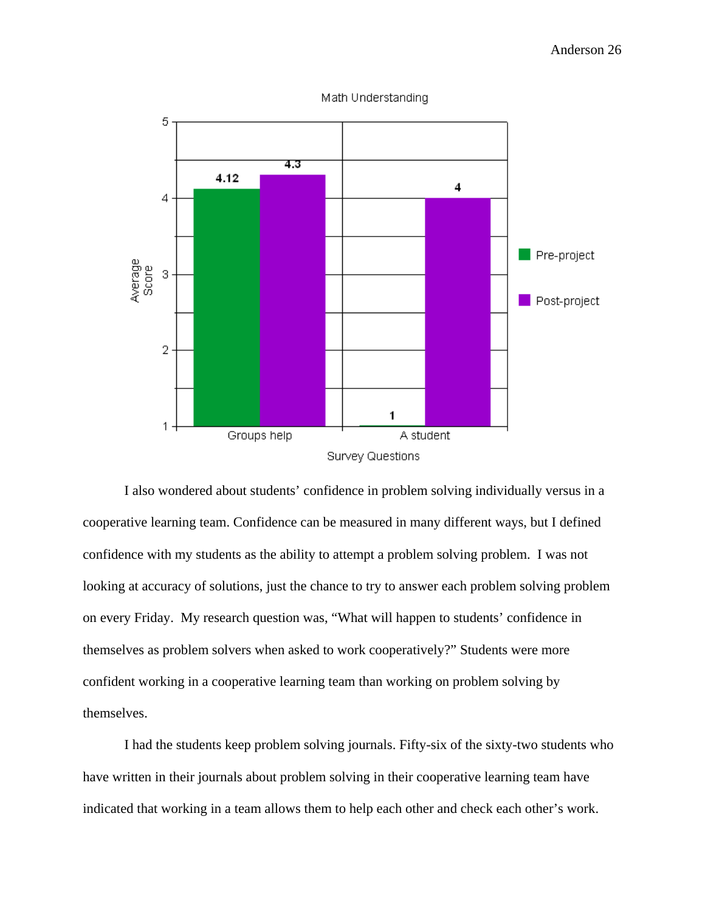

Math Understanding

I also wondered about students' confidence in problem solving individually versus in a cooperative learning team. Confidence can be measured in many different ways, but I defined confidence with my students as the ability to attempt a problem solving problem. I was not looking at accuracy of solutions, just the chance to try to answer each problem solving problem on every Friday. My research question was, "What will happen to students' confidence in themselves as problem solvers when asked to work cooperatively?" Students were more confident working in a cooperative learning team than working on problem solving by themselves.

 I had the students keep problem solving journals. Fifty-six of the sixty-two students who have written in their journals about problem solving in their cooperative learning team have indicated that working in a team allows them to help each other and check each other's work.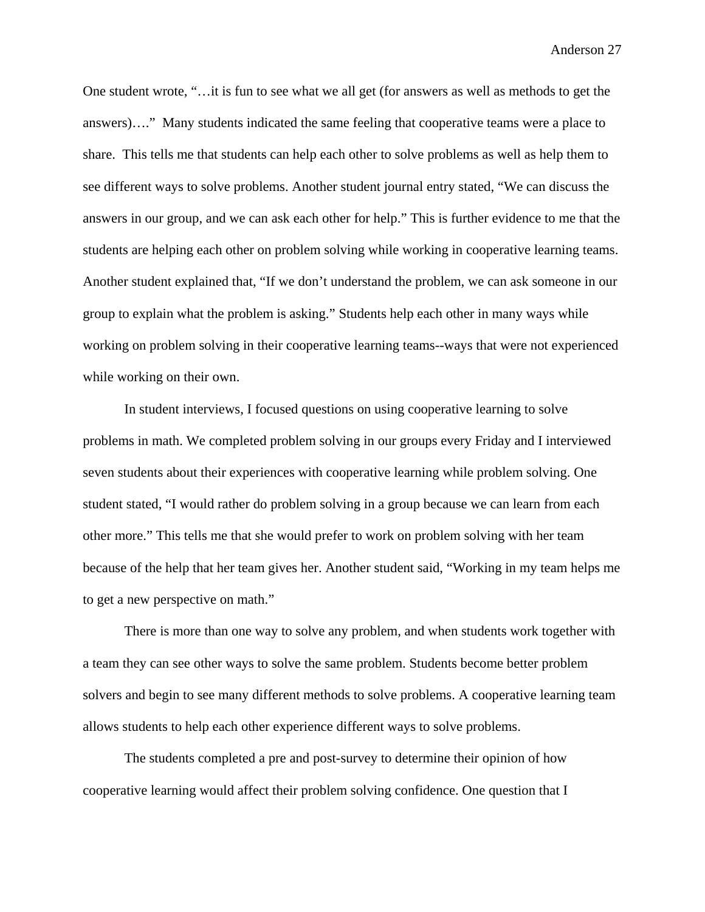One student wrote, "…it is fun to see what we all get (for answers as well as methods to get the answers)…." Many students indicated the same feeling that cooperative teams were a place to share. This tells me that students can help each other to solve problems as well as help them to see different ways to solve problems. Another student journal entry stated, "We can discuss the answers in our group, and we can ask each other for help." This is further evidence to me that the students are helping each other on problem solving while working in cooperative learning teams. Another student explained that, "If we don't understand the problem, we can ask someone in our group to explain what the problem is asking." Students help each other in many ways while working on problem solving in their cooperative learning teams--ways that were not experienced while working on their own.

In student interviews, I focused questions on using cooperative learning to solve problems in math. We completed problem solving in our groups every Friday and I interviewed seven students about their experiences with cooperative learning while problem solving. One student stated, "I would rather do problem solving in a group because we can learn from each other more." This tells me that she would prefer to work on problem solving with her team because of the help that her team gives her. Another student said, "Working in my team helps me to get a new perspective on math."

There is more than one way to solve any problem, and when students work together with a team they can see other ways to solve the same problem. Students become better problem solvers and begin to see many different methods to solve problems. A cooperative learning team allows students to help each other experience different ways to solve problems.

The students completed a pre and post-survey to determine their opinion of how cooperative learning would affect their problem solving confidence. One question that I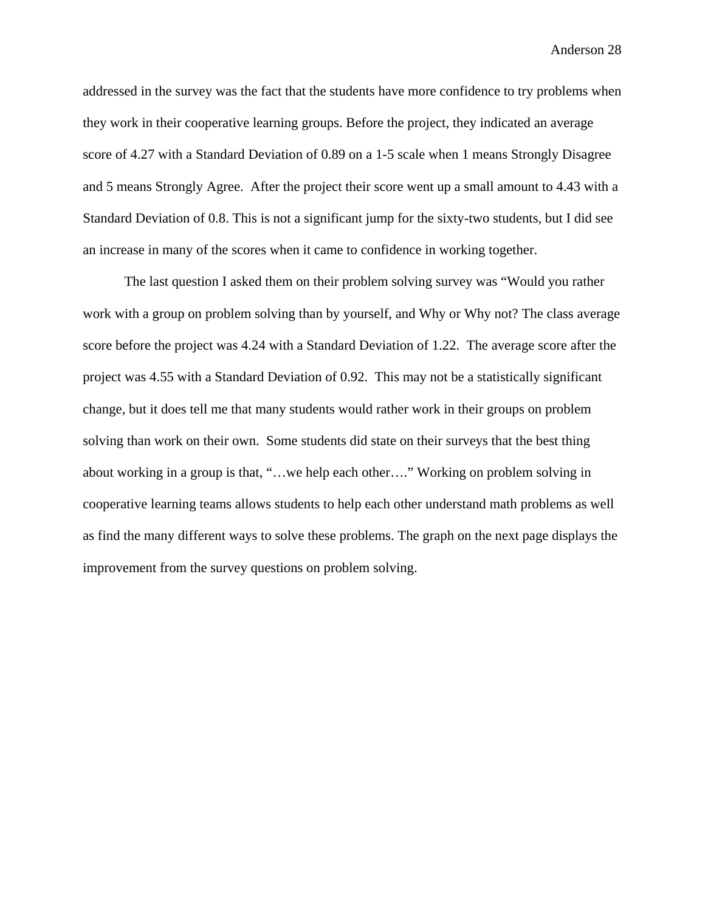addressed in the survey was the fact that the students have more confidence to try problems when they work in their cooperative learning groups. Before the project, they indicated an average score of 4.27 with a Standard Deviation of 0.89 on a 1-5 scale when 1 means Strongly Disagree and 5 means Strongly Agree. After the project their score went up a small amount to 4.43 with a Standard Deviation of 0.8. This is not a significant jump for the sixty-two students, but I did see an increase in many of the scores when it came to confidence in working together.

The last question I asked them on their problem solving survey was "Would you rather work with a group on problem solving than by yourself, and Why or Why not? The class average score before the project was 4.24 with a Standard Deviation of 1.22. The average score after the project was 4.55 with a Standard Deviation of 0.92. This may not be a statistically significant change, but it does tell me that many students would rather work in their groups on problem solving than work on their own. Some students did state on their surveys that the best thing about working in a group is that, "…we help each other…." Working on problem solving in cooperative learning teams allows students to help each other understand math problems as well as find the many different ways to solve these problems. The graph on the next page displays the improvement from the survey questions on problem solving.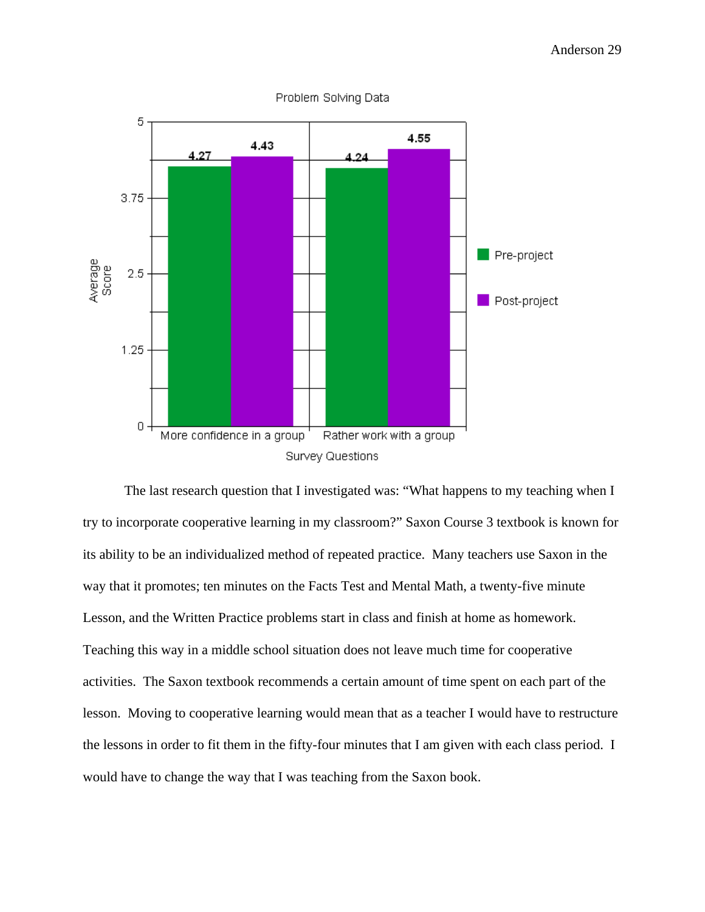

Problem Solving Data

The last research question that I investigated was: "What happens to my teaching when I try to incorporate cooperative learning in my classroom?" Saxon Course 3 textbook is known for its ability to be an individualized method of repeated practice. Many teachers use Saxon in the way that it promotes; ten minutes on the Facts Test and Mental Math, a twenty-five minute Lesson, and the Written Practice problems start in class and finish at home as homework. Teaching this way in a middle school situation does not leave much time for cooperative activities. The Saxon textbook recommends a certain amount of time spent on each part of the lesson. Moving to cooperative learning would mean that as a teacher I would have to restructure the lessons in order to fit them in the fifty-four minutes that I am given with each class period. I would have to change the way that I was teaching from the Saxon book.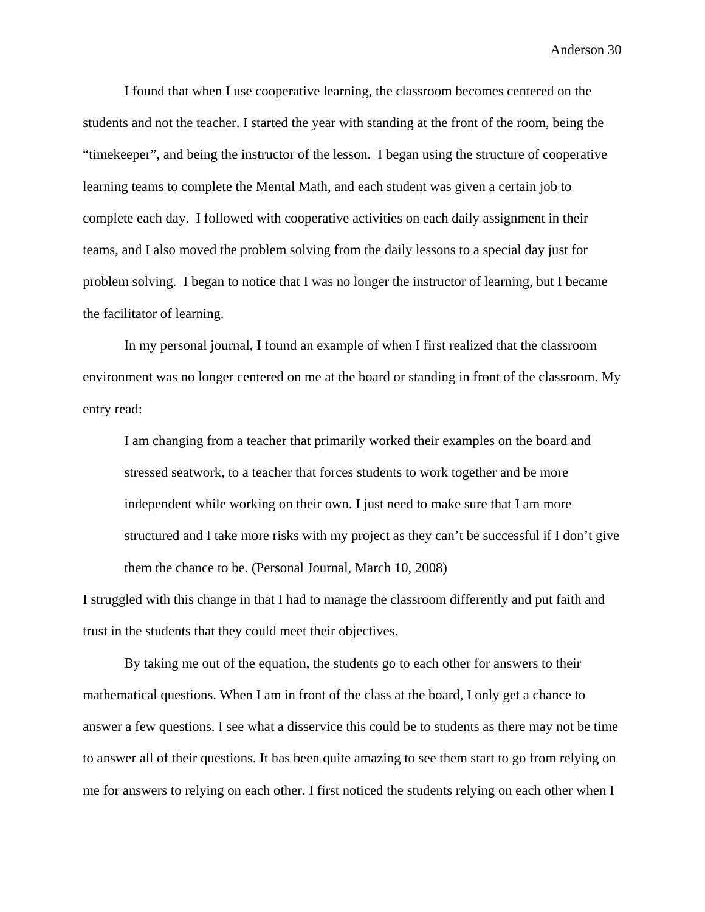I found that when I use cooperative learning, the classroom becomes centered on the students and not the teacher. I started the year with standing at the front of the room, being the "timekeeper", and being the instructor of the lesson. I began using the structure of cooperative learning teams to complete the Mental Math, and each student was given a certain job to complete each day. I followed with cooperative activities on each daily assignment in their teams, and I also moved the problem solving from the daily lessons to a special day just for problem solving. I began to notice that I was no longer the instructor of learning, but I became the facilitator of learning.

In my personal journal, I found an example of when I first realized that the classroom environment was no longer centered on me at the board or standing in front of the classroom. My entry read:

I am changing from a teacher that primarily worked their examples on the board and stressed seatwork, to a teacher that forces students to work together and be more independent while working on their own. I just need to make sure that I am more structured and I take more risks with my project as they can't be successful if I don't give them the chance to be. (Personal Journal, March 10, 2008)

I struggled with this change in that I had to manage the classroom differently and put faith and trust in the students that they could meet their objectives.

By taking me out of the equation, the students go to each other for answers to their mathematical questions. When I am in front of the class at the board, I only get a chance to answer a few questions. I see what a disservice this could be to students as there may not be time to answer all of their questions. It has been quite amazing to see them start to go from relying on me for answers to relying on each other. I first noticed the students relying on each other when I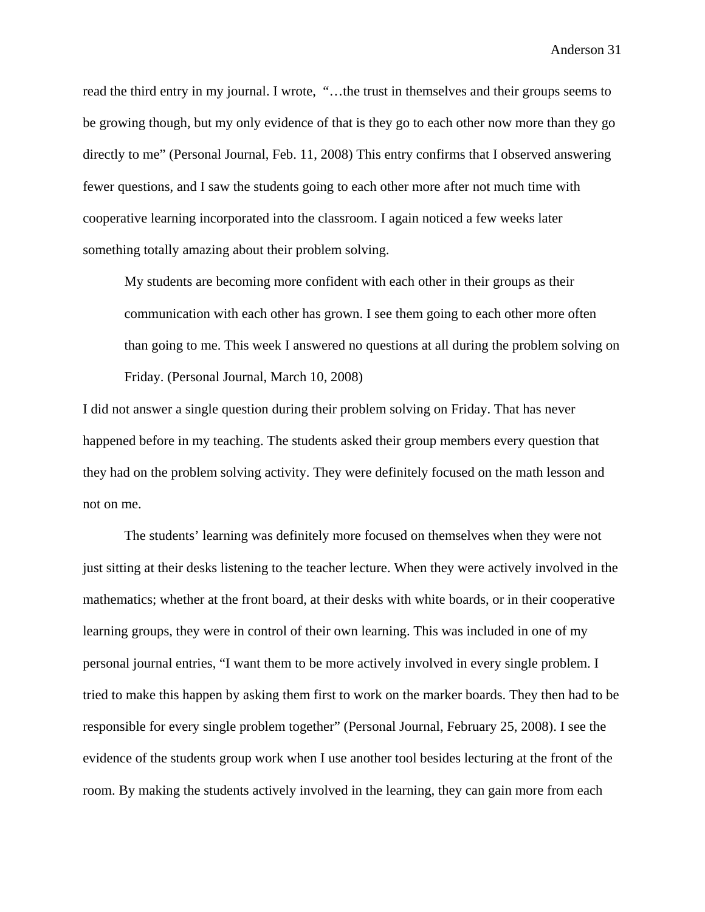read the third entry in my journal. I wrote, "…the trust in themselves and their groups seems to be growing though, but my only evidence of that is they go to each other now more than they go directly to me" (Personal Journal, Feb. 11, 2008) This entry confirms that I observed answering fewer questions, and I saw the students going to each other more after not much time with cooperative learning incorporated into the classroom. I again noticed a few weeks later something totally amazing about their problem solving.

My students are becoming more confident with each other in their groups as their communication with each other has grown. I see them going to each other more often than going to me. This week I answered no questions at all during the problem solving on Friday. (Personal Journal, March 10, 2008)

I did not answer a single question during their problem solving on Friday. That has never happened before in my teaching. The students asked their group members every question that they had on the problem solving activity. They were definitely focused on the math lesson and not on me.

 The students' learning was definitely more focused on themselves when they were not just sitting at their desks listening to the teacher lecture. When they were actively involved in the mathematics; whether at the front board, at their desks with white boards, or in their cooperative learning groups, they were in control of their own learning. This was included in one of my personal journal entries, "I want them to be more actively involved in every single problem. I tried to make this happen by asking them first to work on the marker boards. They then had to be responsible for every single problem together" (Personal Journal, February 25, 2008). I see the evidence of the students group work when I use another tool besides lecturing at the front of the room. By making the students actively involved in the learning, they can gain more from each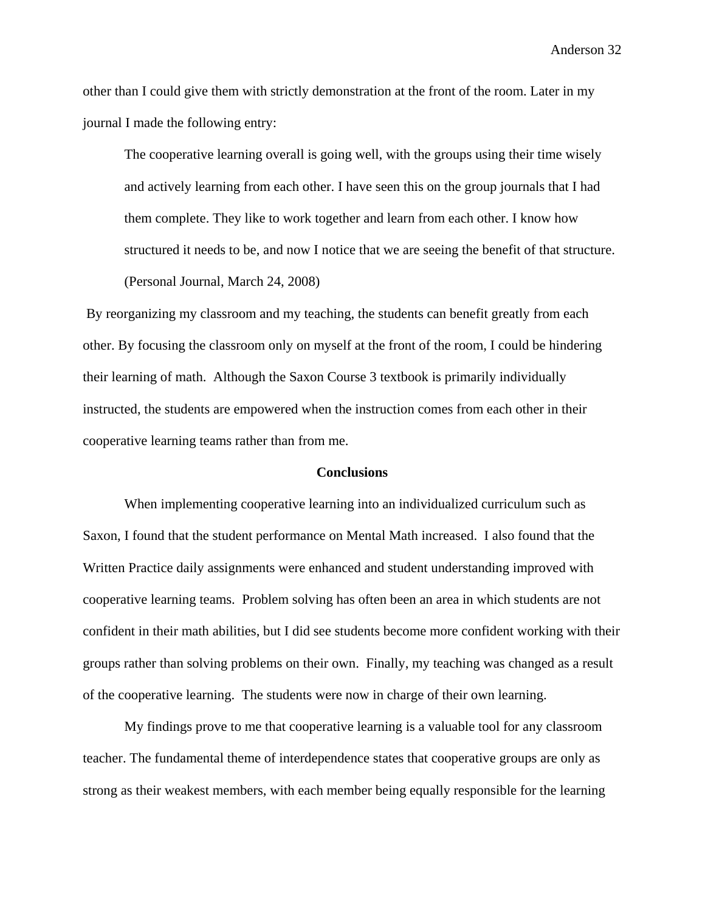other than I could give them with strictly demonstration at the front of the room. Later in my journal I made the following entry:

The cooperative learning overall is going well, with the groups using their time wisely and actively learning from each other. I have seen this on the group journals that I had them complete. They like to work together and learn from each other. I know how structured it needs to be, and now I notice that we are seeing the benefit of that structure. (Personal Journal, March 24, 2008)

 By reorganizing my classroom and my teaching, the students can benefit greatly from each other. By focusing the classroom only on myself at the front of the room, I could be hindering their learning of math. Although the Saxon Course 3 textbook is primarily individually instructed, the students are empowered when the instruction comes from each other in their cooperative learning teams rather than from me.

#### **Conclusions**

When implementing cooperative learning into an individualized curriculum such as Saxon, I found that the student performance on Mental Math increased. I also found that the Written Practice daily assignments were enhanced and student understanding improved with cooperative learning teams. Problem solving has often been an area in which students are not confident in their math abilities, but I did see students become more confident working with their groups rather than solving problems on their own. Finally, my teaching was changed as a result of the cooperative learning. The students were now in charge of their own learning.

My findings prove to me that cooperative learning is a valuable tool for any classroom teacher. The fundamental theme of interdependence states that cooperative groups are only as strong as their weakest members, with each member being equally responsible for the learning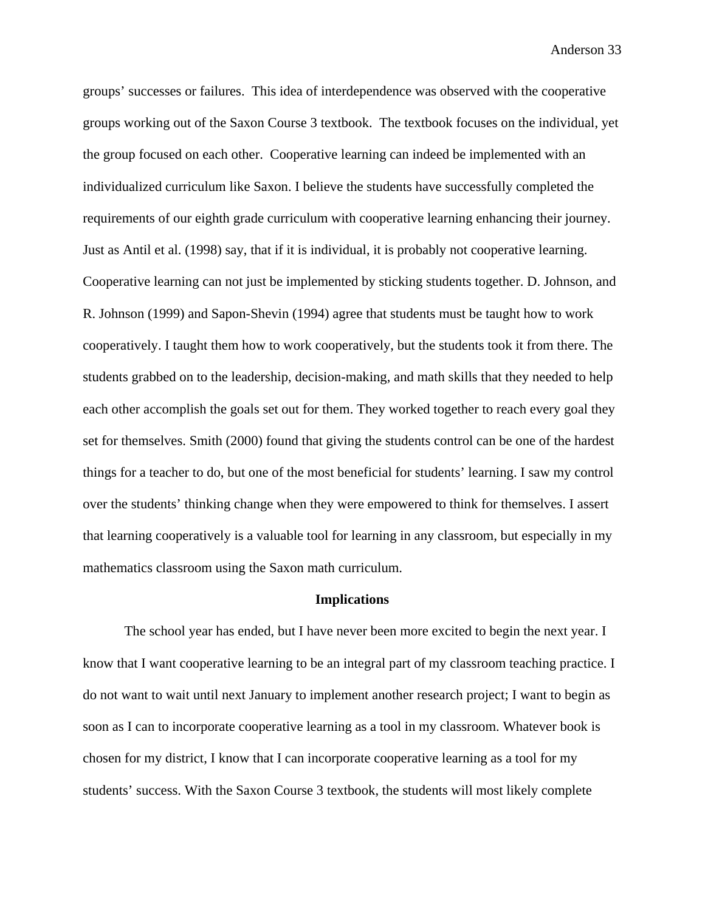groups' successes or failures. This idea of interdependence was observed with the cooperative groups working out of the Saxon Course 3 textbook. The textbook focuses on the individual, yet the group focused on each other. Cooperative learning can indeed be implemented with an individualized curriculum like Saxon. I believe the students have successfully completed the requirements of our eighth grade curriculum with cooperative learning enhancing their journey. Just as Antil et al. (1998) say, that if it is individual, it is probably not cooperative learning. Cooperative learning can not just be implemented by sticking students together. D. Johnson, and R. Johnson (1999) and Sapon-Shevin (1994) agree that students must be taught how to work cooperatively. I taught them how to work cooperatively, but the students took it from there. The students grabbed on to the leadership, decision-making, and math skills that they needed to help each other accomplish the goals set out for them. They worked together to reach every goal they set for themselves. Smith (2000) found that giving the students control can be one of the hardest things for a teacher to do, but one of the most beneficial for students' learning. I saw my control over the students' thinking change when they were empowered to think for themselves. I assert that learning cooperatively is a valuable tool for learning in any classroom, but especially in my mathematics classroom using the Saxon math curriculum.

#### **Implications**

The school year has ended, but I have never been more excited to begin the next year. I know that I want cooperative learning to be an integral part of my classroom teaching practice. I do not want to wait until next January to implement another research project; I want to begin as soon as I can to incorporate cooperative learning as a tool in my classroom. Whatever book is chosen for my district, I know that I can incorporate cooperative learning as a tool for my students' success. With the Saxon Course 3 textbook, the students will most likely complete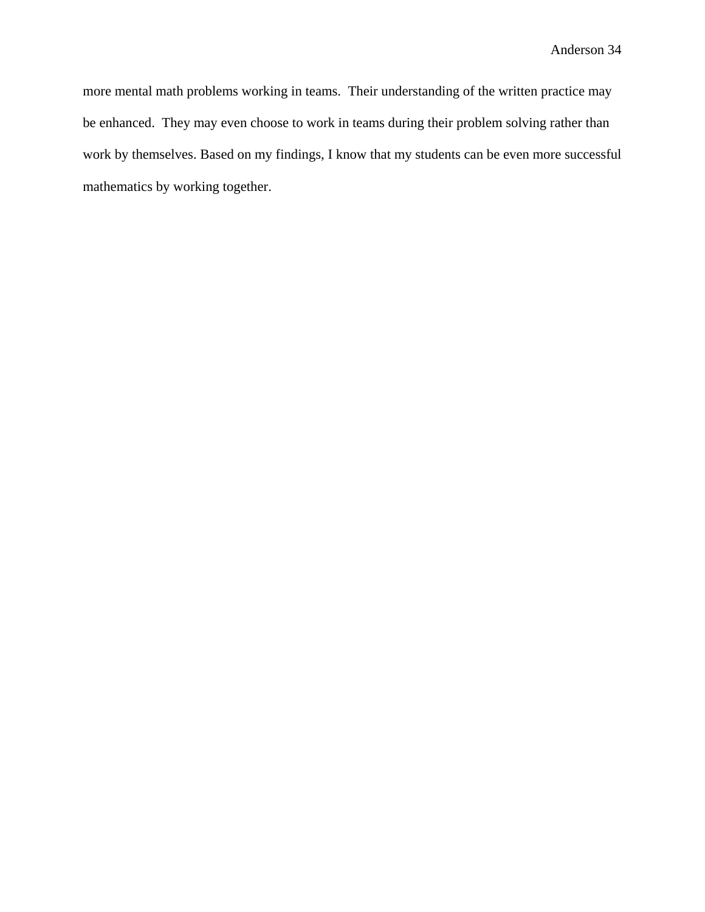more mental math problems working in teams. Their understanding of the written practice may be enhanced. They may even choose to work in teams during their problem solving rather than work by themselves. Based on my findings, I know that my students can be even more successful mathematics by working together.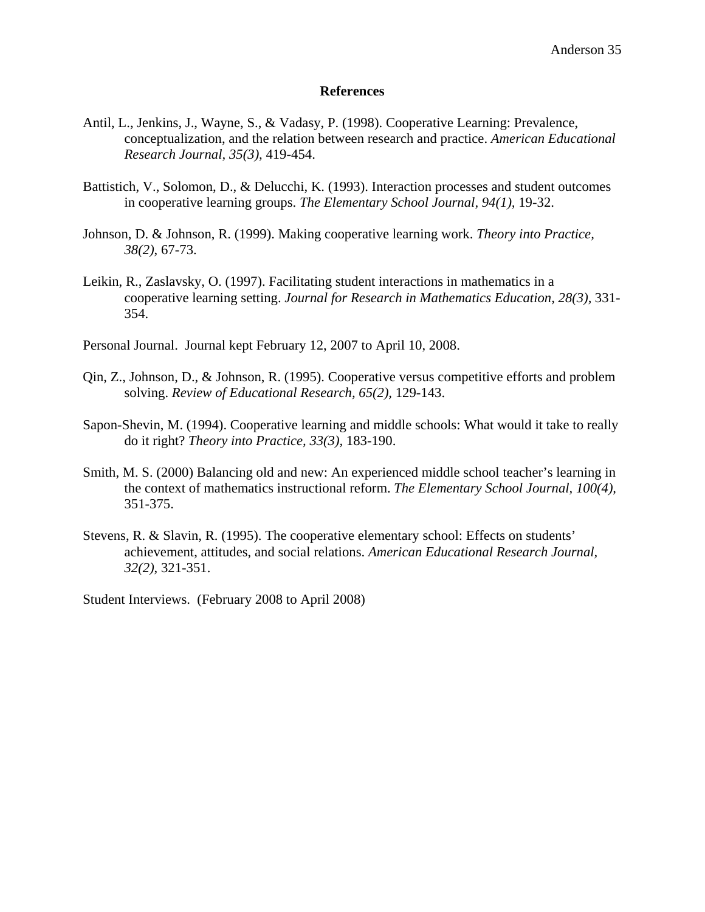#### **References**

- Antil, L., Jenkins, J., Wayne, S., & Vadasy, P. (1998). Cooperative Learning: Prevalence, conceptualization, and the relation between research and practice. *American Educational Research Journal, 35(3),* 419-454.
- Battistich, V., Solomon, D., & Delucchi, K. (1993). Interaction processes and student outcomes in cooperative learning groups. *The Elementary School Journal, 94(1),* 19-32.
- Johnson, D. & Johnson, R. (1999). Making cooperative learning work. *Theory into Practice, 38(2)*, 67-73.
- Leikin, R., Zaslavsky, O. (1997). Facilitating student interactions in mathematics in a cooperative learning setting. *Journal for Research in Mathematics Education, 28(3),* 331- 354.
- Personal Journal. Journal kept February 12, 2007 to April 10, 2008.
- Qin, Z., Johnson, D., & Johnson, R. (1995). Cooperative versus competitive efforts and problem solving. *Review of Educational Research, 65(2),* 129-143.
- Sapon-Shevin, M. (1994). Cooperative learning and middle schools: What would it take to really do it right? *Theory into Practice, 33(3),* 183-190.
- Smith, M. S. (2000) Balancing old and new: An experienced middle school teacher's learning in the context of mathematics instructional reform. *The Elementary School Journal, 100(4),*  351-375.
- Stevens, R. & Slavin, R. (1995). The cooperative elementary school: Effects on students' achievement, attitudes, and social relations. *American Educational Research Journal, 32(2)*, 321-351.

Student Interviews. (February 2008 to April 2008)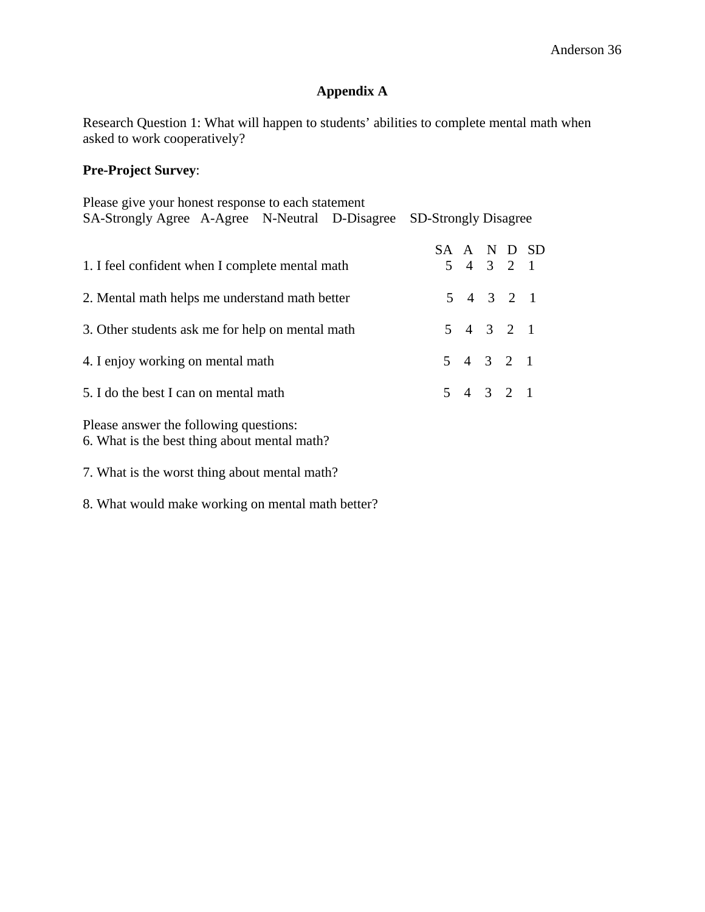# **Appendix A**

Research Question 1: What will happen to students' abilities to complete mental math when asked to work cooperatively?

## **Pre-Project Survey**:

| Please give your honest response to each statement                  |  |             |  |  |             |  |  |
|---------------------------------------------------------------------|--|-------------|--|--|-------------|--|--|
| SA-Strongly Agree A-Agree N-Neutral D-Disagree SD-Strongly Disagree |  |             |  |  |             |  |  |
|                                                                     |  |             |  |  |             |  |  |
|                                                                     |  |             |  |  | SA A N D SD |  |  |
| 1. I feel confident when I complete mental math                     |  | $5$ 4 3 2 1 |  |  |             |  |  |
|                                                                     |  |             |  |  |             |  |  |
| 2. Mental math helps me understand math better                      |  | $5$ 4 3 2 1 |  |  |             |  |  |
|                                                                     |  |             |  |  |             |  |  |
| 3. Other students ask me for help on mental math                    |  | $5$ 4 3 2 1 |  |  |             |  |  |
| 4. I enjoy working on mental math                                   |  | $5$ 4 3 2 1 |  |  |             |  |  |
|                                                                     |  |             |  |  |             |  |  |
| 5. I do the best I can on mental math                               |  | $5$ 4 3 2 1 |  |  |             |  |  |
|                                                                     |  |             |  |  |             |  |  |
| Please answer the following questions:                              |  |             |  |  |             |  |  |
| 6. What is the best thing about mental math?                        |  |             |  |  |             |  |  |
|                                                                     |  |             |  |  |             |  |  |

7. What is the worst thing about mental math?

8. What would make working on mental math better?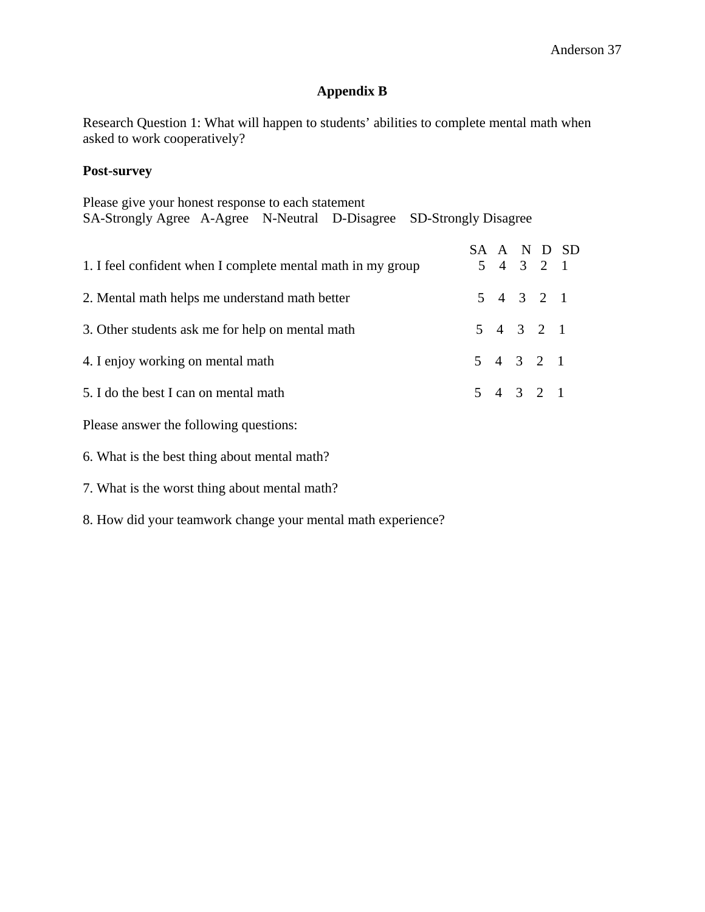# **Appendix B**

Research Question 1: What will happen to students' abilities to complete mental math when asked to work cooperatively?

## **Post-survey**

| Please give your honest response to each statement                  |  |  |             |  |             |  |
|---------------------------------------------------------------------|--|--|-------------|--|-------------|--|
| SA-Strongly Agree A-Agree N-Neutral D-Disagree SD-Strongly Disagree |  |  |             |  |             |  |
| 1. I feel confident when I complete mental math in my group         |  |  | 5 4 3 2 1   |  | SA A N D SD |  |
| 2. Mental math helps me understand math better                      |  |  | $5$ 4 3 2 1 |  |             |  |
| 3. Other students ask me for help on mental math                    |  |  | $5$ 4 3 2 1 |  |             |  |
| 4. I enjoy working on mental math                                   |  |  | $5$ 4 3 2 1 |  |             |  |
| 5. I do the best I can on mental math                               |  |  | $5$ 4 3 2 1 |  |             |  |
| Please answer the following questions:                              |  |  |             |  |             |  |
| 6. What is the best thing about mental math?                        |  |  |             |  |             |  |
|                                                                     |  |  |             |  |             |  |

- 7. What is the worst thing about mental math?
- 8. How did your teamwork change your mental math experience?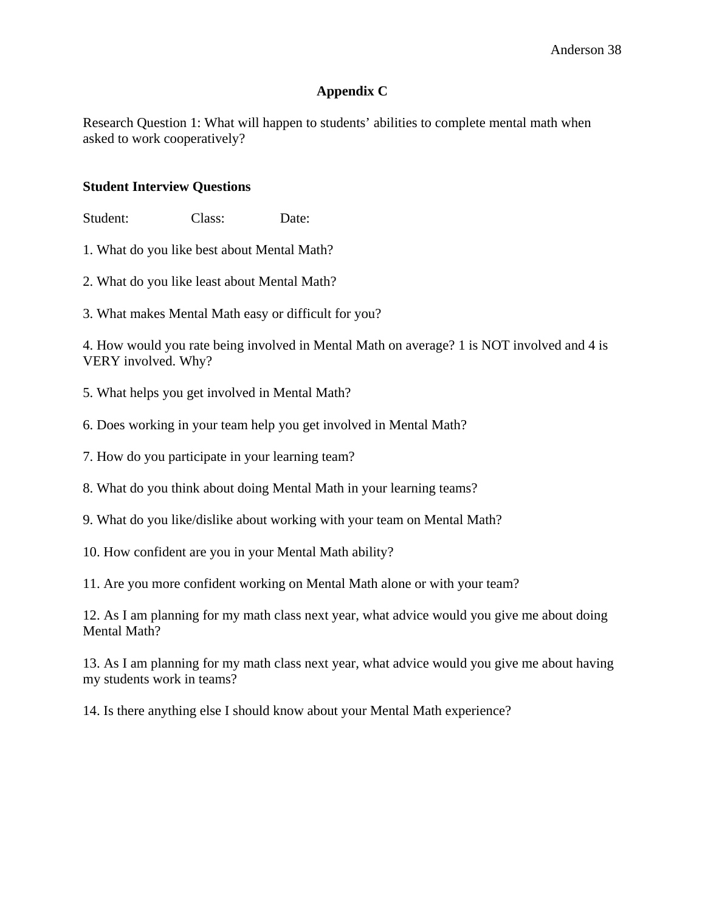## **Appendix C**

Research Question 1: What will happen to students' abilities to complete mental math when asked to work cooperatively?

## **Student Interview Questions**

Student: Class: Date:

- 1. What do you like best about Mental Math?
- 2. What do you like least about Mental Math?
- 3. What makes Mental Math easy or difficult for you?

4. How would you rate being involved in Mental Math on average? 1 is NOT involved and 4 is VERY involved. Why?

- 5. What helps you get involved in Mental Math?
- 6. Does working in your team help you get involved in Mental Math?
- 7. How do you participate in your learning team?
- 8. What do you think about doing Mental Math in your learning teams?
- 9. What do you like/dislike about working with your team on Mental Math?
- 10. How confident are you in your Mental Math ability?
- 11. Are you more confident working on Mental Math alone or with your team?

12. As I am planning for my math class next year, what advice would you give me about doing Mental Math?

13. As I am planning for my math class next year, what advice would you give me about having my students work in teams?

14. Is there anything else I should know about your Mental Math experience?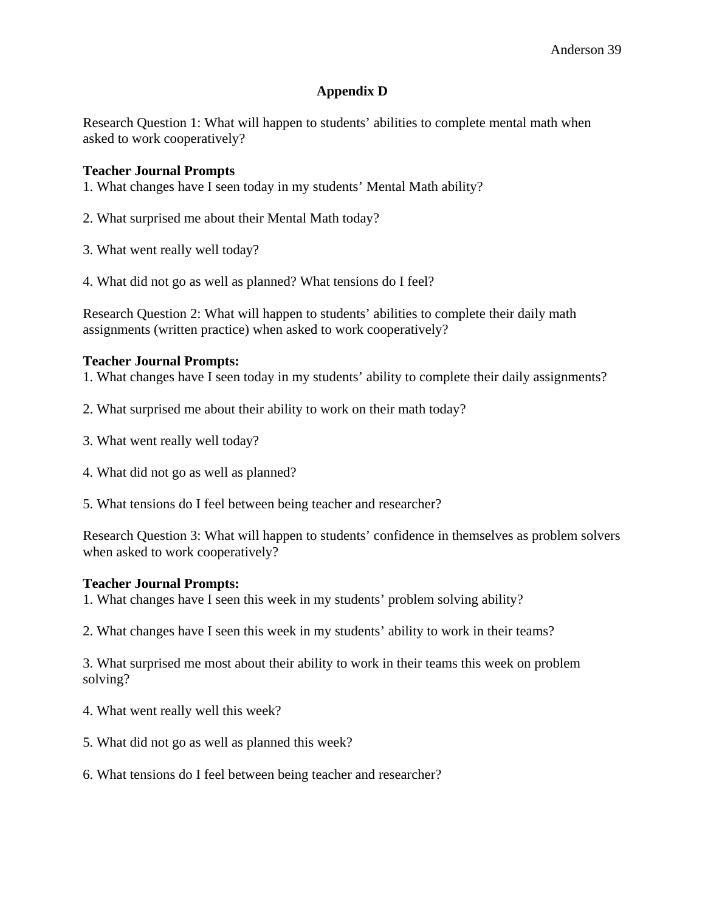## **Appendix D**

Research Question 1: What will happen to students' abilities to complete mental math when asked to work cooperatively?

## **Teacher Journal Prompts**

1. What changes have I seen today in my students' Mental Math ability?

- 2. What surprised me about their Mental Math today?
- 3. What went really well today?
- 4. What did not go as well as planned? What tensions do I feel?

Research Question 2: What will happen to students' abilities to complete their daily math assignments (written practice) when asked to work cooperatively?

### **Teacher Journal Prompts:**

1. What changes have I seen today in my students' ability to complete their daily assignments?

- 2. What surprised me about their ability to work on their math today?
- 3. What went really well today?
- 4. What did not go as well as planned?
- 5. What tensions do I feel between being teacher and researcher?

Research Question 3: What will happen to students' confidence in themselves as problem solvers when asked to work cooperatively?

### **Teacher Journal Prompts:**

1. What changes have I seen this week in my students' problem solving ability?

2. What changes have I seen this week in my students' ability to work in their teams?

3. What surprised me most about their ability to work in their teams this week on problem solving?

- 4. What went really well this week?
- 5. What did not go as well as planned this week?
- 6. What tensions do I feel between being teacher and researcher?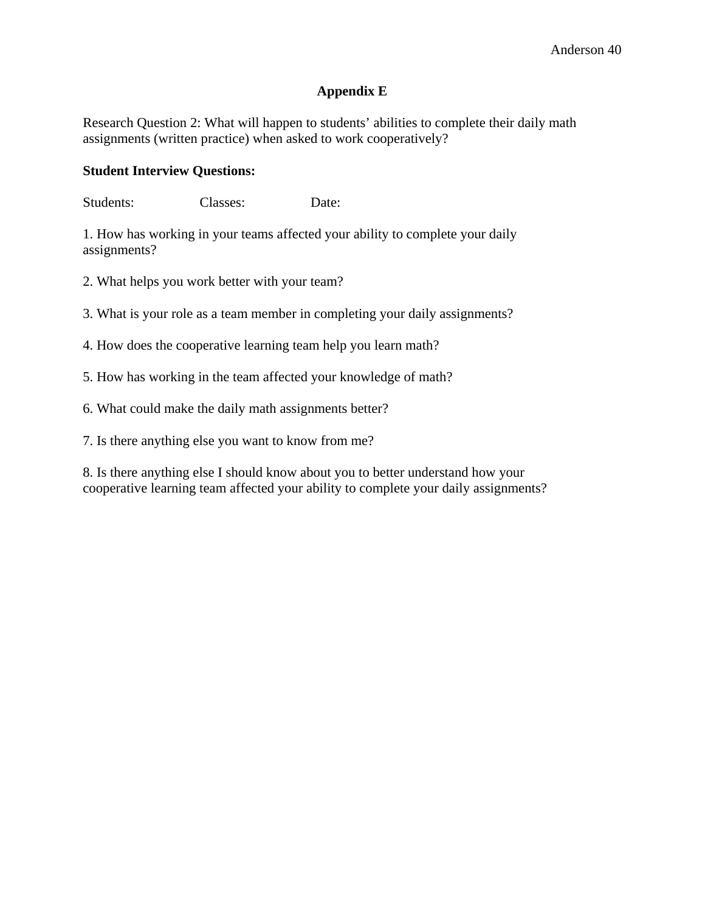## **Appendix E**

Research Question 2: What will happen to students' abilities to complete their daily math assignments (written practice) when asked to work cooperatively?

## **Student Interview Questions:**

Students: Classes: Date:

1. How has working in your teams affected your ability to complete your daily assignments?

2. What helps you work better with your team?

3. What is your role as a team member in completing your daily assignments?

4. How does the cooperative learning team help you learn math?

5. How has working in the team affected your knowledge of math?

6. What could make the daily math assignments better?

7. Is there anything else you want to know from me?

8. Is there anything else I should know about you to better understand how your cooperative learning team affected your ability to complete your daily assignments?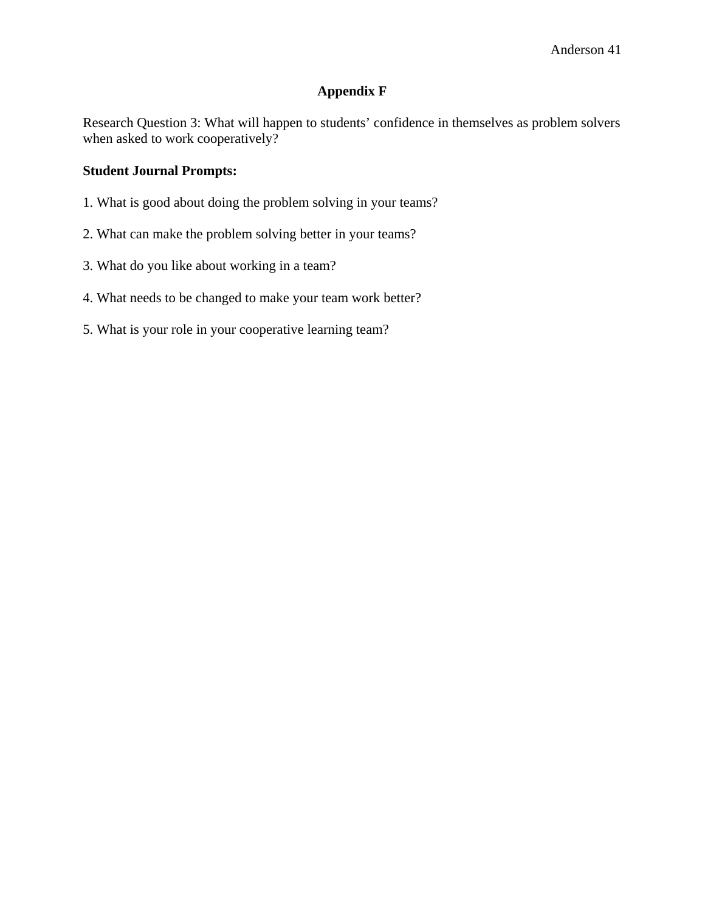## **Appendix F**

Research Question 3: What will happen to students' confidence in themselves as problem solvers when asked to work cooperatively?

## **Student Journal Prompts:**

- 1. What is good about doing the problem solving in your teams?
- 2. What can make the problem solving better in your teams?
- 3. What do you like about working in a team?
- 4. What needs to be changed to make your team work better?
- 5. What is your role in your cooperative learning team?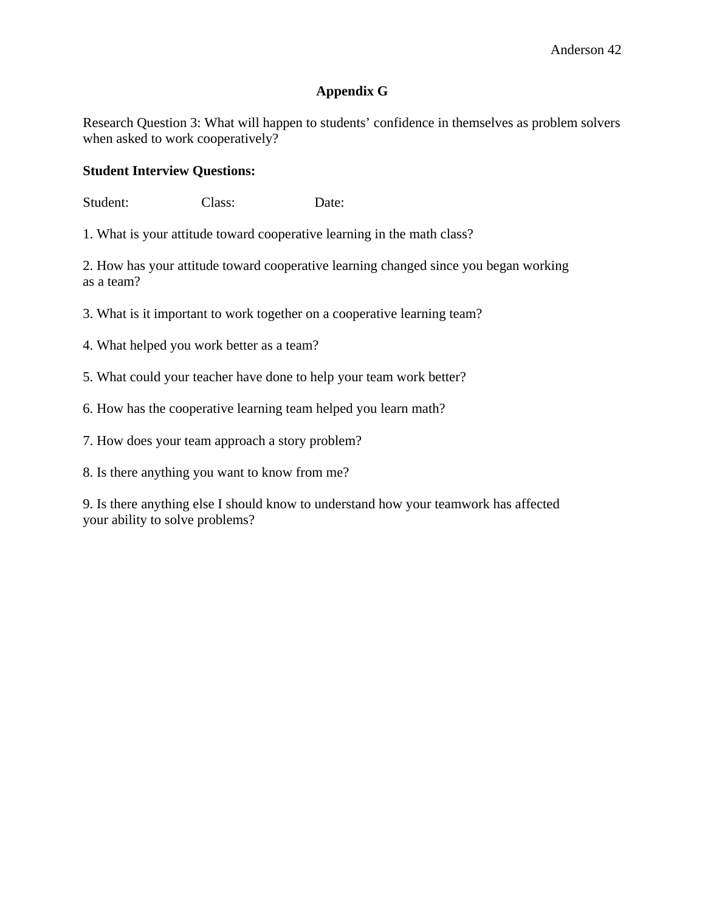## **Appendix G**

Research Question 3: What will happen to students' confidence in themselves as problem solvers when asked to work cooperatively?

## **Student Interview Questions:**

Student: Class: Date:

1. What is your attitude toward cooperative learning in the math class?

2. How has your attitude toward cooperative learning changed since you began working as a team?

3. What is it important to work together on a cooperative learning team?

4. What helped you work better as a team?

5. What could your teacher have done to help your team work better?

6. How has the cooperative learning team helped you learn math?

7. How does your team approach a story problem?

8. Is there anything you want to know from me?

9. Is there anything else I should know to understand how your teamwork has affected your ability to solve problems?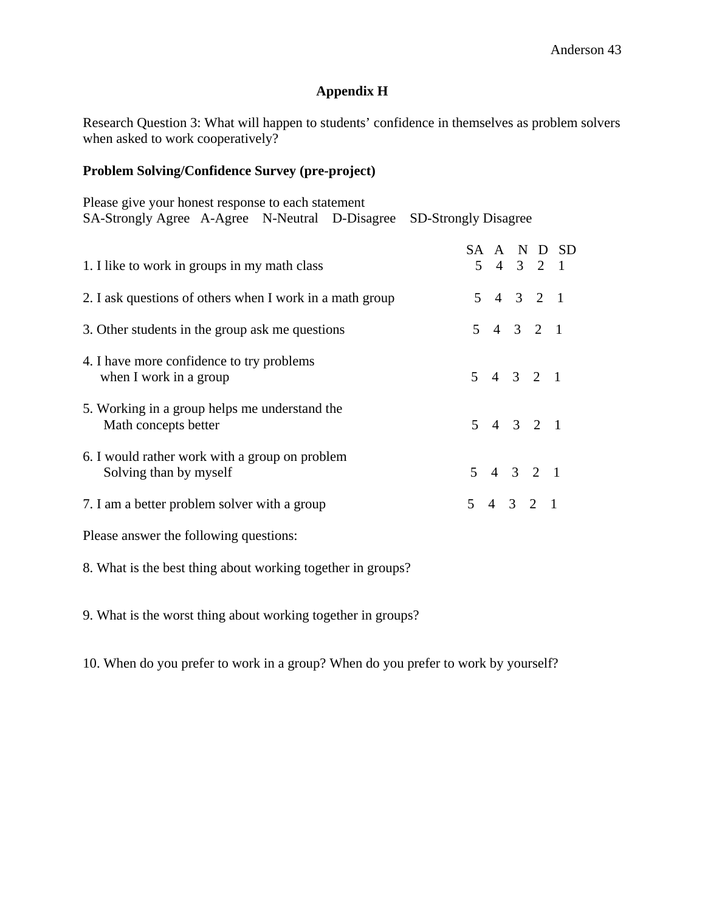# **Appendix H**

Research Question 3: What will happen to students' confidence in themselves as problem solvers when asked to work cooperatively?

## **Problem Solving/Confidence Survey (pre-project)**

| Please give your honest response to each statement<br>SA-Strongly Agree A-Agree N-Neutral D-Disagree SD-Strongly Disagree |  |  |  |             |  |             |
|---------------------------------------------------------------------------------------------------------------------------|--|--|--|-------------|--|-------------|
| 1. I like to work in groups in my math class                                                                              |  |  |  | $5$ 4 3 2 1 |  | SA A N D SD |
| 2. I ask questions of others when I work in a math group                                                                  |  |  |  | $5$ 4 3 2 1 |  |             |
| 3. Other students in the group ask me questions                                                                           |  |  |  | 5 4 3 2 1   |  |             |
| 4. I have more confidence to try problems<br>when I work in a group                                                       |  |  |  | 5 4 3 2 1   |  |             |
| 5. Working in a group helps me understand the<br>Math concepts better                                                     |  |  |  | $5$ 4 3 2 1 |  |             |
| 6. I would rather work with a group on problem<br>Solving than by myself                                                  |  |  |  | $5$ 4 3 2 1 |  |             |
| 7. I am a better problem solver with a group                                                                              |  |  |  | $5$ 4 3 2 1 |  |             |
| Please answer the following questions:                                                                                    |  |  |  |             |  |             |

8. What is the best thing about working together in groups?

9. What is the worst thing about working together in groups?

10. When do you prefer to work in a group? When do you prefer to work by yourself?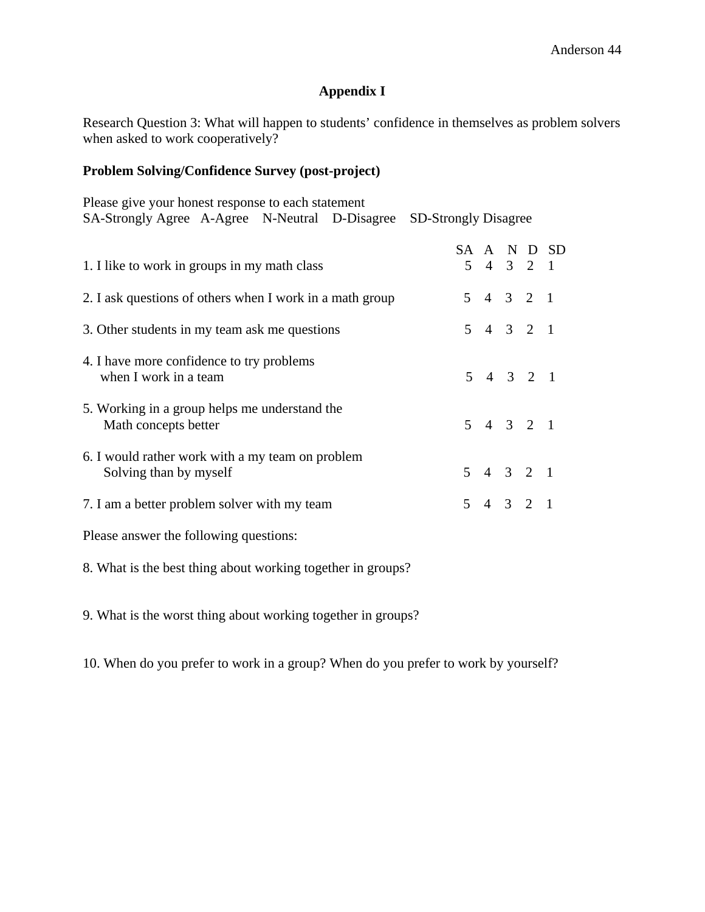# **Appendix I**

Research Question 3: What will happen to students' confidence in themselves as problem solvers when asked to work cooperatively?

## **Problem Solving/Confidence Survey (post-project)**

| Please give your honest response to each statement<br>SA-Strongly Agree A-Agree N-Neutral D-Disagree SD-Strongly Disagree |  |  |  |  |                                     |             |
|---------------------------------------------------------------------------------------------------------------------------|--|--|--|--|-------------------------------------|-------------|
| 1. I like to work in groups in my math class                                                                              |  |  |  |  | $5$ 4 3 2 1                         | SA A N D SD |
| 2. I ask questions of others when I work in a math group                                                                  |  |  |  |  | $5$ 4 3 2 1                         |             |
| 3. Other students in my team ask me questions                                                                             |  |  |  |  | $5$ 4 3 2 1                         |             |
| 4. I have more confidence to try problems<br>when I work in a team                                                        |  |  |  |  | 5 4 3 2 1                           |             |
| 5. Working in a group helps me understand the<br>Math concepts better                                                     |  |  |  |  | $5$ 4 3 2 1                         |             |
| 6. I would rather work with a my team on problem<br>Solving than by myself                                                |  |  |  |  | 5 4 3 2 1                           |             |
| 7. I am a better problem solver with my team                                                                              |  |  |  |  | $5 \quad 4 \quad 3 \quad 2 \quad 1$ |             |
| Please answer the following questions:                                                                                    |  |  |  |  |                                     |             |

8. What is the best thing about working together in groups?

9. What is the worst thing about working together in groups?

10. When do you prefer to work in a group? When do you prefer to work by yourself?